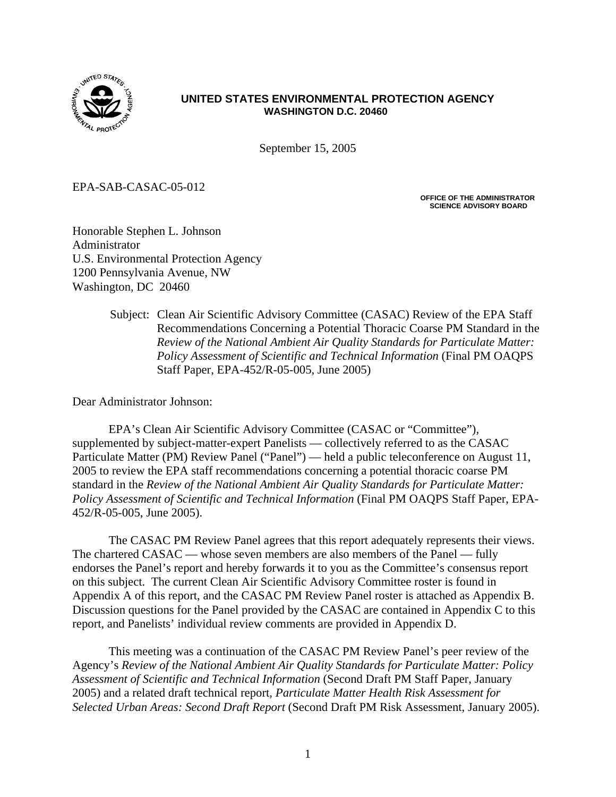

### **UNITED STATES ENVIRONMENTAL PROTECTION AGENCY WASHINGTON D.C. 20460**

September 15, 2005

EPA-SAB-CASAC-05-012

**OFFICE OF THE ADMINISTRATOR SCIENCE ADVISORY BOARD** 

Honorable Stephen L. Johnson Administrator U.S. Environmental Protection Agency 1200 Pennsylvania Avenue, NW Washington, DC 20460

> Subject: Clean Air Scientific Advisory Committee (CASAC) Review of the EPA Staff Recommendations Concerning a Potential Thoracic Coarse PM Standard in the *Review of the National Ambient Air Quality Standards for Particulate Matter: Policy Assessment of Scientific and Technical Information* (Final PM OAQPS Staff Paper, EPA-452/R-05-005, June 2005)

Dear Administrator Johnson:

EPA's Clean Air Scientific Advisory Committee (CASAC or "Committee"), supplemented by subject-matter-expert Panelists — collectively referred to as the CASAC Particulate Matter (PM) Review Panel ("Panel") — held a public teleconference on August 11, 2005 to review the EPA staff recommendations concerning a potential thoracic coarse PM standard in the *Review of the National Ambient Air Quality Standards for Particulate Matter: Policy Assessment of Scientific and Technical Information (Final PM OAQPS Staff Paper, EPA-*452/R-05-005, June 2005).

The CASAC PM Review Panel agrees that this report adequately represents their views. The chartered CASAC — whose seven members are also members of the Panel — fully endorses the Panel's report and hereby forwards it to you as the Committee's consensus report on this subject. The current Clean Air Scientific Advisory Committee roster is found in Appendix A of this report, and the CASAC PM Review Panel roster is attached as Appendix B. Discussion questions for the Panel provided by the CASAC are contained in Appendix C to this report, and Panelists' individual review comments are provided in Appendix D.

This meeting was a continuation of the CASAC PM Review Panel's peer review of the Agency's *Review of the National Ambient Air Quality Standards for Particulate Matter: Policy Assessment of Scientific and Technical Information* (Second Draft PM Staff Paper, January 2005) and a related draft technical report, *Particulate Matter Health Risk Assessment for Selected Urban Areas: Second Draft Report* (Second Draft PM Risk Assessment, January 2005).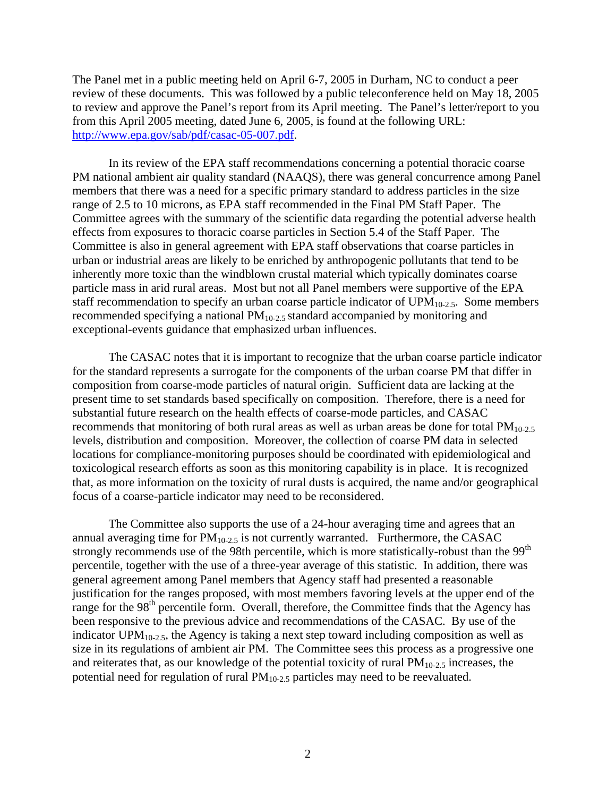The Panel met in a public meeting held on April 6-7, 2005 in Durham, NC to conduct a peer review of these documents. This was followed by a public teleconference held on May 18, 2005 to review and approve the Panel's report from its April meeting. The Panel's letter/report to you from this April 2005 meeting, dated June 6, 2005, is found at the following URL: [http://www.epa.gov/sab/pdf/casac-05-007.pdf.](http://www.epa.gov/sab/pdf/casac-05-007.pdf)

In its review of the EPA staff recommendations concerning a potential thoracic coarse PM national ambient air quality standard (NAAQS), there was general concurrence among Panel members that there was a need for a specific primary standard to address particles in the size range of 2.5 to 10 microns, as EPA staff recommended in the Final PM Staff Paper. The Committee agrees with the summary of the scientific data regarding the potential adverse health effects from exposures to thoracic coarse particles in Section 5.4 of the Staff Paper. The Committee is also in general agreement with EPA staff observations that coarse particles in urban or industrial areas are likely to be enriched by anthropogenic pollutants that tend to be inherently more toxic than the windblown crustal material which typically dominates coarse particle mass in arid rural areas. Most but not all Panel members were supportive of the EPA staff recommendation to specify an urban coarse particle indicator of  $UPM<sub>10-2.5</sub>$ . Some members recommended specifying a national PM<sub>10-2.5</sub> standard accompanied by monitoring and exceptional-events guidance that emphasized urban influences.

The CASAC notes that it is important to recognize that the urban coarse particle indicator for the standard represents a surrogate for the components of the urban coarse PM that differ in composition from coarse-mode particles of natural origin. Sufficient data are lacking at the present time to set standards based specifically on composition. Therefore, there is a need for substantial future research on the health effects of coarse-mode particles, and CASAC recommends that monitoring of both rural areas as well as urban areas be done for total  $PM_{10-2.5}$ levels, distribution and composition. Moreover, the collection of coarse PM data in selected locations for compliance-monitoring purposes should be coordinated with epidemiological and toxicological research efforts as soon as this monitoring capability is in place. It is recognized that, as more information on the toxicity of rural dusts is acquired, the name and/or geographical focus of a coarse-particle indicator may need to be reconsidered.

The Committee also supports the use of a 24-hour averaging time and agrees that an annual averaging time for  $PM_{10-2.5}$  is not currently warranted. Furthermore, the CASAC strongly recommends use of the 98th percentile, which is more statistically-robust than the 99<sup>th</sup> percentile, together with the use of a three-year average of this statistic. In addition, there was general agreement among Panel members that Agency staff had presented a reasonable justification for the ranges proposed, with most members favoring levels at the upper end of the range for the  $98<sup>th</sup>$  percentile form. Overall, therefore, the Committee finds that the Agency has been responsive to the previous advice and recommendations of the CASAC. By use of the indicator  $UPM<sub>10-2.5</sub>$ , the Agency is taking a next step toward including composition as well as size in its regulations of ambient air PM. The Committee sees this process as a progressive one and reiterates that, as our knowledge of the potential toxicity of rural  $PM<sub>10-2.5</sub>$  increases, the potential need for regulation of rural  $PM<sub>10-2.5</sub>$  particles may need to be reevaluated.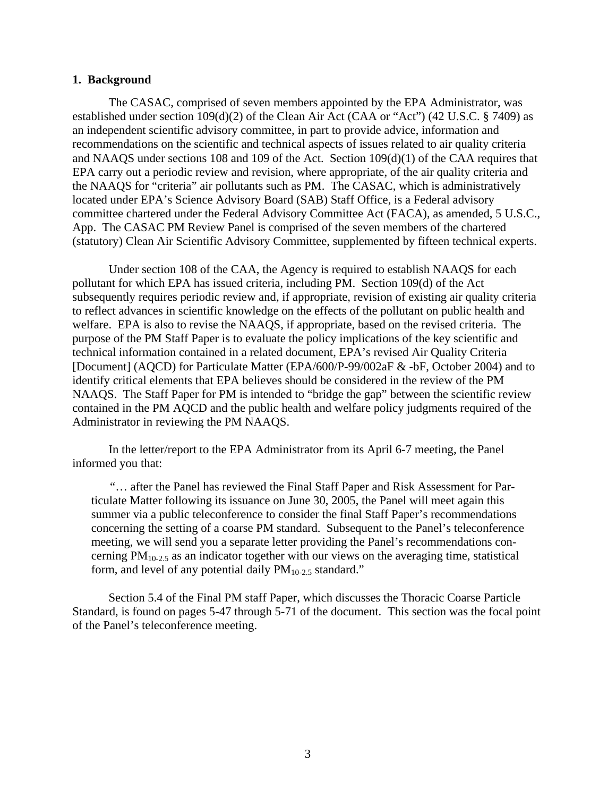#### **1. Background**

The CASAC, comprised of seven members appointed by the EPA Administrator, was established under section 109(d)(2) of the Clean Air Act (CAA or "Act") (42 U.S.C. § 7409) as an independent scientific advisory committee, in part to provide advice, information and recommendations on the scientific and technical aspects of issues related to air quality criteria and NAAQS under sections 108 and 109 of the Act. Section 109(d)(1) of the CAA requires that EPA carry out a periodic review and revision, where appropriate, of the air quality criteria and the NAAQS for "criteria" air pollutants such as PM. The CASAC, which is administratively located under EPA's Science Advisory Board (SAB) Staff Office, is a Federal advisory committee chartered under the Federal Advisory Committee Act (FACA), as amended, 5 U.S.C., App. The CASAC PM Review Panel is comprised of the seven members of the chartered (statutory) Clean Air Scientific Advisory Committee, supplemented by fifteen technical experts.

Under section 108 of the CAA, the Agency is required to establish NAAQS for each pollutant for which EPA has issued criteria, including PM. Section 109(d) of the Act subsequently requires periodic review and, if appropriate, revision of existing air quality criteria to reflect advances in scientific knowledge on the effects of the pollutant on public health and welfare. EPA is also to revise the NAAQS, if appropriate, based on the revised criteria. The purpose of the PM Staff Paper is to evaluate the policy implications of the key scientific and technical information contained in a related document, EPA's revised Air Quality Criteria [Document] (AQCD) for Particulate Matter (EPA/600/P-99/002aF & -bF, October 2004) and to identify critical elements that EPA believes should be considered in the review of the PM NAAQS. The Staff Paper for PM is intended to "bridge the gap" between the scientific review contained in the PM AQCD and the public health and welfare policy judgments required of the Administrator in reviewing the PM NAAQS.

In the letter/report to the EPA Administrator from its April 6-7 meeting, the Panel informed you that:

"… after the Panel has reviewed the Final Staff Paper and Risk Assessment for Particulate Matter following its issuance on June 30, 2005, the Panel will meet again this summer via a public teleconference to consider the final Staff Paper's recommendations concerning the setting of a coarse PM standard. Subsequent to the Panel's teleconference meeting, we will send you a separate letter providing the Panel's recommendations concerning  $PM_{10-2.5}$  as an indicator together with our views on the averaging time, statistical form, and level of any potential daily  $PM_{10-2.5}$  standard."

Section 5.4 of the Final PM staff Paper, which discusses the Thoracic Coarse Particle Standard, is found on pages 5-47 through 5-71 of the document. This section was the focal point of the Panel's teleconference meeting.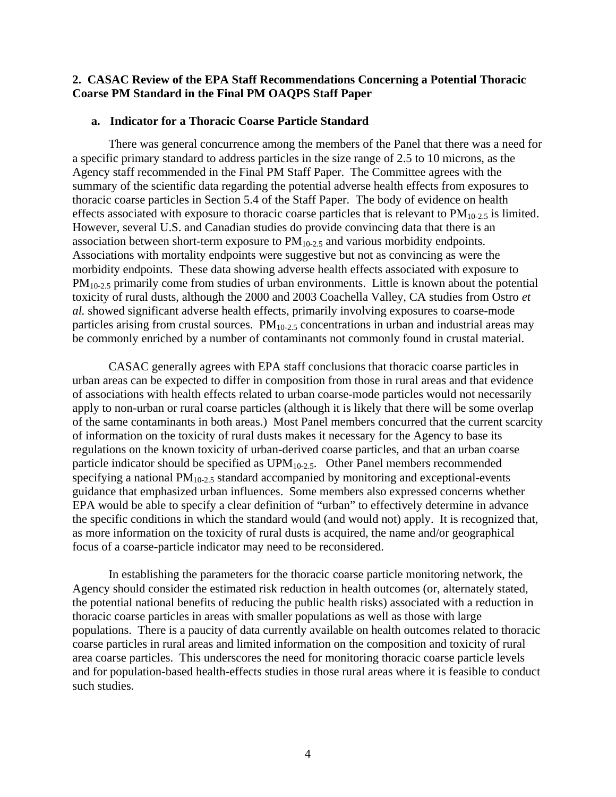#### **2. CASAC Review of the EPA Staff Recommendations Concerning a Potential Thoracic Coarse PM Standard in the Final PM OAQPS Staff Paper**

#### **a. Indicator for a Thoracic Coarse Particle Standard**

There was general concurrence among the members of the Panel that there was a need for a specific primary standard to address particles in the size range of 2.5 to 10 microns, as the Agency staff recommended in the Final PM Staff Paper. The Committee agrees with the summary of the scientific data regarding the potential adverse health effects from exposures to thoracic coarse particles in Section 5.4 of the Staff Paper. The body of evidence on health effects associated with exposure to thoracic coarse particles that is relevant to  $PM_{10-2.5}$  is limited. However, several U.S. and Canadian studies do provide convincing data that there is an association between short-term exposure to  $PM<sub>10-2.5</sub>$  and various morbidity endpoints. Associations with mortality endpoints were suggestive but not as convincing as were the morbidity endpoints. These data showing adverse health effects associated with exposure to  $PM_{10-2.5}$  primarily come from studies of urban environments. Little is known about the potential toxicity of rural dusts, although the 2000 and 2003 Coachella Valley, CA studies from Ostro *et al.* showed significant adverse health effects, primarily involving exposures to coarse-mode particles arising from crustal sources.  $PM<sub>10-2.5</sub>$  concentrations in urban and industrial areas may be commonly enriched by a number of contaminants not commonly found in crustal material.

CASAC generally agrees with EPA staff conclusions that thoracic coarse particles in urban areas can be expected to differ in composition from those in rural areas and that evidence of associations with health effects related to urban coarse-mode particles would not necessarily apply to non-urban or rural coarse particles (although it is likely that there will be some overlap of the same contaminants in both areas.) Most Panel members concurred that the current scarcity of information on the toxicity of rural dusts makes it necessary for the Agency to base its regulations on the known toxicity of urban-derived coarse particles, and that an urban coarse particle indicator should be specified as  $UPM_{10-2.5}$ . Other Panel members recommended specifying a national  $PM_{10-2.5}$  standard accompanied by monitoring and exceptional-events guidance that emphasized urban influences. Some members also expressed concerns whether EPA would be able to specify a clear definition of "urban" to effectively determine in advance the specific conditions in which the standard would (and would not) apply. It is recognized that, as more information on the toxicity of rural dusts is acquired, the name and/or geographical focus of a coarse-particle indicator may need to be reconsidered.

In establishing the parameters for the thoracic coarse particle monitoring network, the Agency should consider the estimated risk reduction in health outcomes (or, alternately stated, the potential national benefits of reducing the public health risks) associated with a reduction in thoracic coarse particles in areas with smaller populations as well as those with large populations. There is a paucity of data currently available on health outcomes related to thoracic coarse particles in rural areas and limited information on the composition and toxicity of rural area coarse particles. This underscores the need for monitoring thoracic coarse particle levels and for population-based health-effects studies in those rural areas where it is feasible to conduct such studies.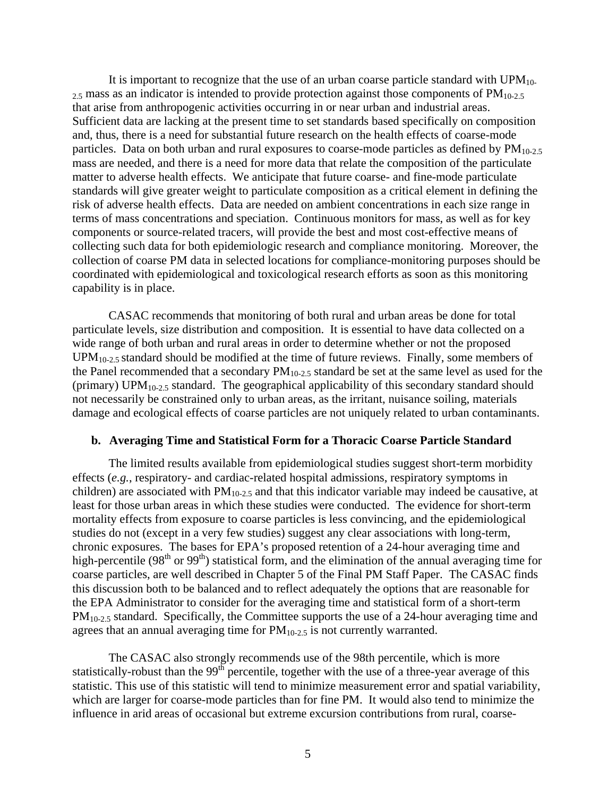It is important to recognize that the use of an urban coarse particle standard with  $UPM_{10}$ - $_{2.5}$  mass as an indicator is intended to provide protection against those components of  $PM_{10-2.5}$ that arise from anthropogenic activities occurring in or near urban and industrial areas. Sufficient data are lacking at the present time to set standards based specifically on composition and, thus, there is a need for substantial future research on the health effects of coarse-mode particles. Data on both urban and rural exposures to coarse-mode particles as defined by  $PM<sub>10-2.5</sub>$ mass are needed, and there is a need for more data that relate the composition of the particulate matter to adverse health effects. We anticipate that future coarse- and fine-mode particulate standards will give greater weight to particulate composition as a critical element in defining the risk of adverse health effects. Data are needed on ambient concentrations in each size range in terms of mass concentrations and speciation. Continuous monitors for mass, as well as for key components or source-related tracers, will provide the best and most cost-effective means of collecting such data for both epidemiologic research and compliance monitoring. Moreover, the collection of coarse PM data in selected locations for compliance-monitoring purposes should be coordinated with epidemiological and toxicological research efforts as soon as this monitoring capability is in place.

CASAC recommends that monitoring of both rural and urban areas be done for total particulate levels, size distribution and composition. It is essential to have data collected on a wide range of both urban and rural areas in order to determine whether or not the proposed  $UPM<sub>10-2.5</sub>$  standard should be modified at the time of future reviews. Finally, some members of the Panel recommended that a secondary  $PM_{10-2.5}$  standard be set at the same level as used for the (primary) UPM<sub>10-2.5</sub> standard. The geographical applicability of this secondary standard should not necessarily be constrained only to urban areas, as the irritant, nuisance soiling, materials damage and ecological effects of coarse particles are not uniquely related to urban contaminants.

#### **b. Averaging Time and Statistical Form for a Thoracic Coarse Particle Standard**

The limited results available from epidemiological studies suggest short-term morbidity effects (*e.g.*, respiratory- and cardiac-related hospital admissions, respiratory symptoms in children) are associated with  $PM_{10-2.5}$  and that this indicator variable may indeed be causative, at least for those urban areas in which these studies were conducted. The evidence for short-term mortality effects from exposure to coarse particles is less convincing, and the epidemiological studies do not (except in a very few studies) suggest any clear associations with long-term, chronic exposures. The bases for EPA's proposed retention of a 24-hour averaging time and high-percentile ( $98<sup>th</sup>$  or  $99<sup>th</sup>$ ) statistical form, and the elimination of the annual averaging time for coarse particles, are well described in Chapter 5 of the Final PM Staff Paper. The CASAC finds this discussion both to be balanced and to reflect adequately the options that are reasonable for the EPA Administrator to consider for the averaging time and statistical form of a short-term  $PM<sub>10-2.5</sub>$  standard. Specifically, the Committee supports the use of a 24-hour averaging time and agrees that an annual averaging time for  $PM<sub>10-2.5</sub>$  is not currently warranted.

The CASAC also strongly recommends use of the 98th percentile, which is more statistically-robust than the  $99<sup>th</sup>$  percentile, together with the use of a three-year average of this statistic. This use of this statistic will tend to minimize measurement error and spatial variability, which are larger for coarse-mode particles than for fine PM. It would also tend to minimize the influence in arid areas of occasional but extreme excursion contributions from rural, coarse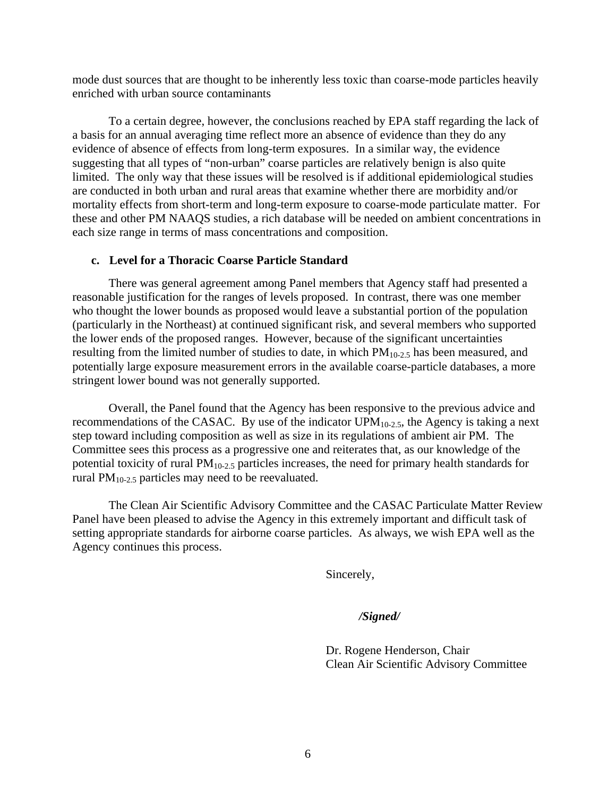mode dust sources that are thought to be inherently less toxic than coarse-mode particles heavily enriched with urban source contaminants

To a certain degree, however, the conclusions reached by EPA staff regarding the lack of a basis for an annual averaging time reflect more an absence of evidence than they do any evidence of absence of effects from long-term exposures. In a similar way, the evidence suggesting that all types of "non-urban" coarse particles are relatively benign is also quite limited. The only way that these issues will be resolved is if additional epidemiological studies are conducted in both urban and rural areas that examine whether there are morbidity and/or mortality effects from short-term and long-term exposure to coarse-mode particulate matter. For these and other PM NAAQS studies, a rich database will be needed on ambient concentrations in each size range in terms of mass concentrations and composition.

#### **c. Level for a Thoracic Coarse Particle Standard**

There was general agreement among Panel members that Agency staff had presented a reasonable justification for the ranges of levels proposed. In contrast, there was one member who thought the lower bounds as proposed would leave a substantial portion of the population (particularly in the Northeast) at continued significant risk, and several members who supported the lower ends of the proposed ranges. However, because of the significant uncertainties resulting from the limited number of studies to date, in which  $PM_{10-2.5}$  has been measured, and potentially large exposure measurement errors in the available coarse-particle databases, a more stringent lower bound was not generally supported.

Overall, the Panel found that the Agency has been responsive to the previous advice and recommendations of the CASAC. By use of the indicator  $UPM<sub>10-2.5</sub>$ , the Agency is taking a next step toward including composition as well as size in its regulations of ambient air PM. The Committee sees this process as a progressive one and reiterates that, as our knowledge of the potential toxicity of rural  $PM<sub>10-2.5</sub>$  particles increases, the need for primary health standards for rural  $PM_{10-2.5}$  particles may need to be reevaluated.

The Clean Air Scientific Advisory Committee and the CASAC Particulate Matter Review Panel have been pleased to advise the Agency in this extremely important and difficult task of setting appropriate standards for airborne coarse particles. As always, we wish EPA well as the Agency continues this process.

Sincerely,

#### */Signed/*

Dr. Rogene Henderson, Chair Clean Air Scientific Advisory Committee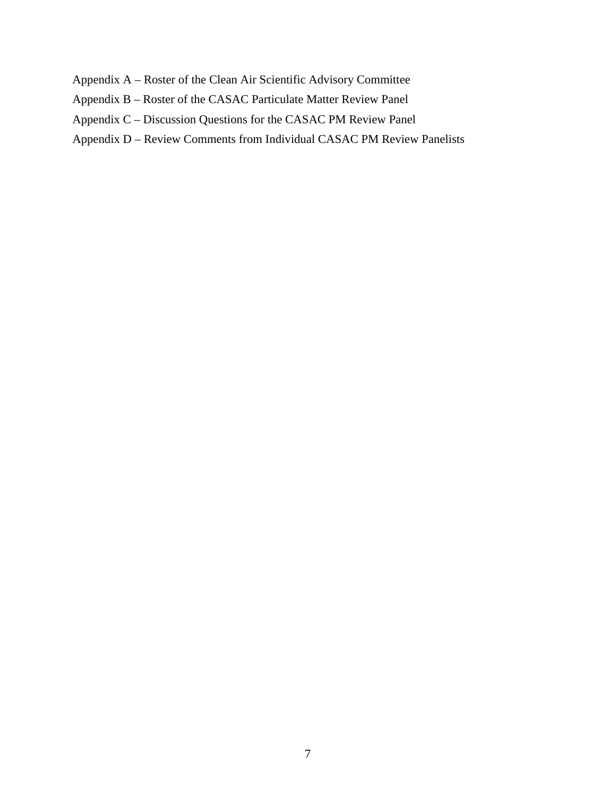- Appendix A Roster of the Clean Air Scientific Advisory Committee
- Appendix B Roster of the CASAC Particulate Matter Review Panel
- Appendix C Discussion Questions for the CASAC PM Review Panel
- Appendix D Review Comments from Individual CASAC PM Review Panelists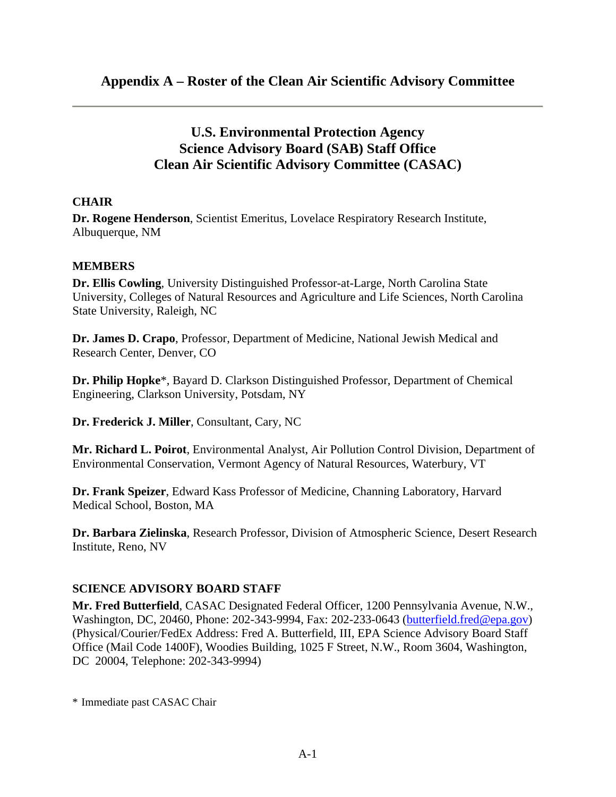# **U.S. Environmental Protection Agency Science Advisory Board (SAB) Staff Office Clean Air Scientific Advisory Committee (CASAC)**

## **CHAIR**

**Dr. Rogene Henderson**, Scientist Emeritus, Lovelace Respiratory Research Institute, Albuquerque, NM

## **MEMBERS**

**Dr. Ellis Cowling**, University Distinguished Professor-at-Large, North Carolina State University, Colleges of Natural Resources and Agriculture and Life Sciences, North Carolina State University, Raleigh, NC

**Dr. James D. Crapo**, Professor, Department of Medicine, National Jewish Medical and Research Center, Denver, CO

**Dr. Philip Hopke**\*, Bayard D. Clarkson Distinguished Professor, Department of Chemical Engineering, Clarkson University, Potsdam, NY

**Dr. Frederick J. Miller**, Consultant, Cary, NC

**Mr. Richard L. Poirot**, Environmental Analyst, Air Pollution Control Division, Department of Environmental Conservation, Vermont Agency of Natural Resources, Waterbury, VT

**Dr. Frank Speizer**, Edward Kass Professor of Medicine, Channing Laboratory, Harvard Medical School, Boston, MA

**Dr. Barbara Zielinska**, Research Professor, Division of Atmospheric Science, Desert Research Institute, Reno, NV

### **SCIENCE ADVISORY BOARD STAFF**

**Mr. Fred Butterfield**, CASAC Designated Federal Officer, 1200 Pennsylvania Avenue, N.W., Washington, DC, 20460, Phone: 202-343-9994, Fax: 202-233-0643 [\(butterfield.fred@epa.gov\)](mailto:butterfield.fred@epa.gov)  (Physical/Courier/FedEx Address: Fred A. Butterfield, III, EPA Science Advisory Board Staff Office (Mail Code 1400F), Woodies Building, 1025 F Street, N.W., Room 3604, Washington, DC 20004, Telephone: 202-343-9994)

\* Immediate past CASAC Chair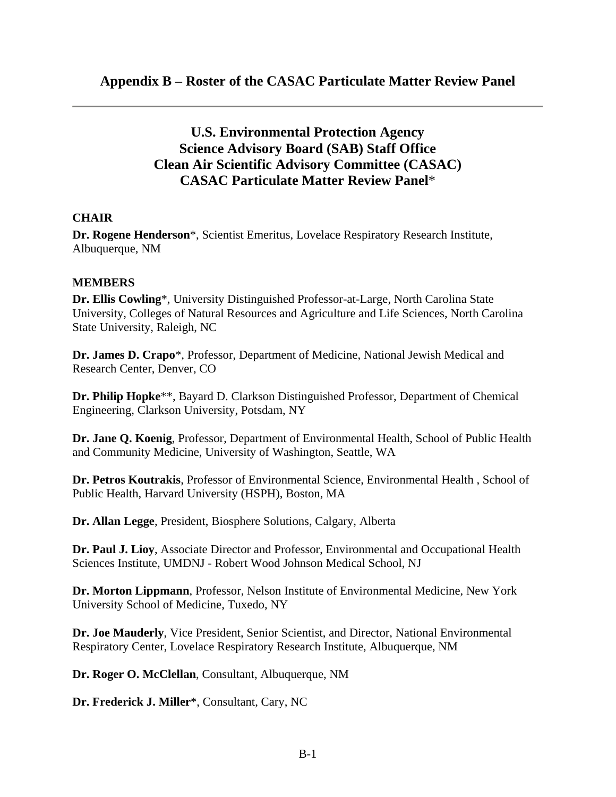# **U.S. Environmental Protection Agency Science Advisory Board (SAB) Staff Office Clean Air Scientific Advisory Committee (CASAC) CASAC Particulate Matter Review Panel**\*

### **CHAIR**

**Dr. Rogene Henderson**\*, Scientist Emeritus, Lovelace Respiratory Research Institute, Albuquerque, NM

### **MEMBERS**

**Dr. Ellis Cowling**\*, University Distinguished Professor-at-Large, North Carolina State University, Colleges of Natural Resources and Agriculture and Life Sciences, North Carolina State University, Raleigh, NC

**Dr. James D. Crapo**\*, Professor, Department of Medicine, National Jewish Medical and Research Center, Denver, CO

**Dr. Philip Hopke**\*\*, Bayard D. Clarkson Distinguished Professor, Department of Chemical Engineering, Clarkson University, Potsdam, NY

**Dr. Jane Q. Koenig**, Professor, Department of Environmental Health, School of Public Health and Community Medicine, University of Washington, Seattle, WA

**Dr. Petros Koutrakis**, Professor of Environmental Science, Environmental Health , School of Public Health, Harvard University (HSPH), Boston, MA

**Dr. Allan Legge**, President, Biosphere Solutions, Calgary, Alberta

**Dr. Paul J. Lioy**, Associate Director and Professor, Environmental and Occupational Health Sciences Institute, UMDNJ - Robert Wood Johnson Medical School, NJ

**Dr. Morton Lippmann**, Professor, Nelson Institute of Environmental Medicine, New York University School of Medicine, Tuxedo, NY

**Dr. Joe Mauderly**, Vice President, Senior Scientist, and Director, National Environmental Respiratory Center, Lovelace Respiratory Research Institute, Albuquerque, NM

**Dr. Roger O. McClellan**, Consultant, Albuquerque, NM

**Dr. Frederick J. Miller**\*, Consultant, Cary, NC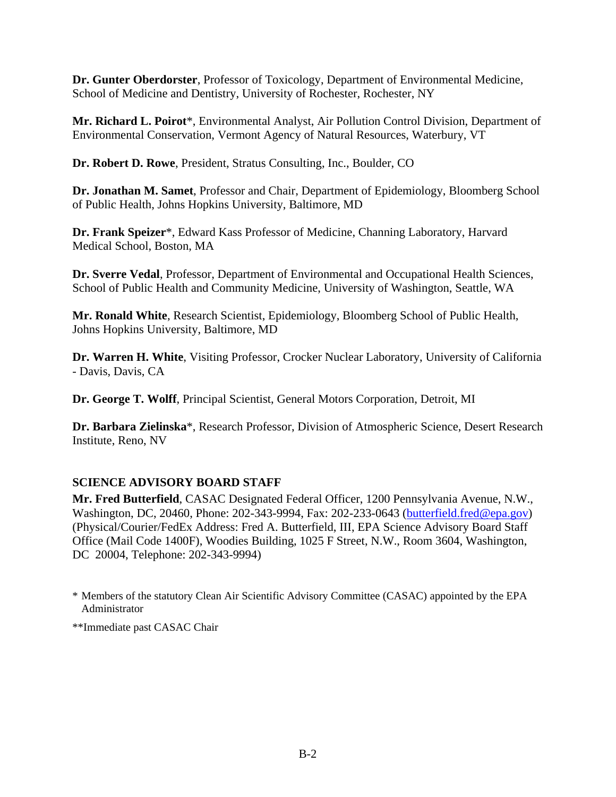**Dr. Gunter Oberdorster**, Professor of Toxicology, Department of Environmental Medicine, School of Medicine and Dentistry, University of Rochester, Rochester, NY

**Mr. Richard L. Poirot**\*, Environmental Analyst, Air Pollution Control Division, Department of Environmental Conservation, Vermont Agency of Natural Resources, Waterbury, VT

**Dr. Robert D. Rowe**, President, Stratus Consulting, Inc., Boulder, CO

**Dr. Jonathan M. Samet**, Professor and Chair, Department of Epidemiology, Bloomberg School of Public Health, Johns Hopkins University, Baltimore, MD

**Dr. Frank Speizer**\*, Edward Kass Professor of Medicine, Channing Laboratory, Harvard Medical School, Boston, MA

**Dr. Sverre Vedal**, Professor, Department of Environmental and Occupational Health Sciences, School of Public Health and Community Medicine, University of Washington, Seattle, WA

**Mr. Ronald White**, Research Scientist, Epidemiology, Bloomberg School of Public Health, Johns Hopkins University, Baltimore, MD

**Dr. Warren H. White**, Visiting Professor, Crocker Nuclear Laboratory, University of California - Davis, Davis, CA

**Dr. George T. Wolff**, Principal Scientist, General Motors Corporation, Detroit, MI

**Dr. Barbara Zielinska**\*, Research Professor, Division of Atmospheric Science, Desert Research Institute, Reno, NV

## **SCIENCE ADVISORY BOARD STAFF**

**Mr. Fred Butterfield**, CASAC Designated Federal Officer, 1200 Pennsylvania Avenue, N.W., Washington, DC, 20460, Phone: 202-343-9994, Fax: 202-233-0643 ([butterfield.fred@epa.gov\)](mailto:butterfield.fred@epa.gov)  (Physical/Courier/FedEx Address: Fred A. Butterfield, III, EPA Science Advisory Board Staff Office (Mail Code 1400F), Woodies Building, 1025 F Street, N.W., Room 3604, Washington, DC 20004, Telephone: 202-343-9994)

\* Members of the statutory Clean Air Scientific Advisory Committee (CASAC) appointed by the EPA Administrator

\*\*Immediate past CASAC Chair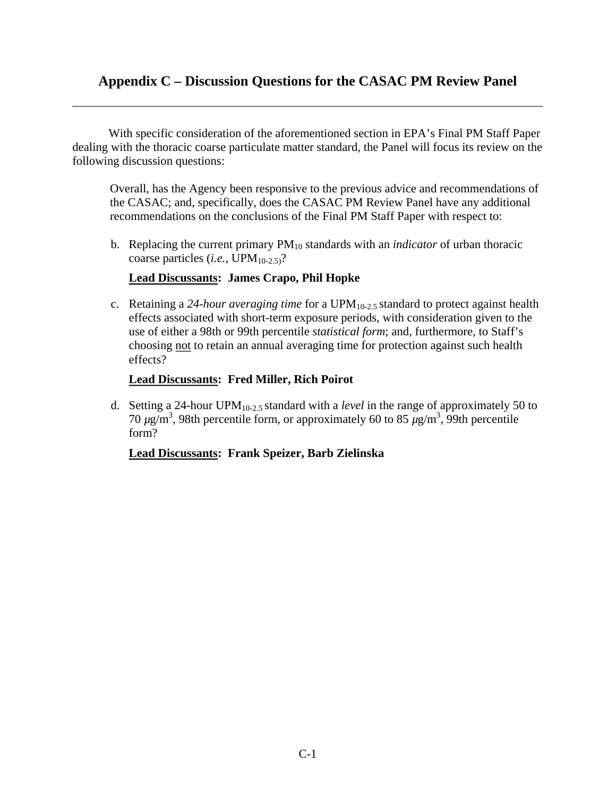# **Appendix C – Discussion Questions for the CASAC PM Review Panel**

With specific consideration of the aforementioned section in EPA's Final PM Staff Paper dealing with the thoracic coarse particulate matter standard, the Panel will focus its review on the following discussion questions:

Overall, has the Agency been responsive to the previous advice and recommendations of the CASAC; and, specifically, does the CASAC PM Review Panel have any additional recommendations on the conclusions of the Final PM Staff Paper with respect to:

b. Replacing the current primary PM10 standards with an *indicator* of urban thoracic coarse particles  $(i.e., UPM_{10-2.5})$ ?

### **Lead Discussants: James Crapo, Phil Hopke**

c. Retaining a *24-hour averaging time* for a UPM10-2.5 standard to protect against health effects associated with short-term exposure periods, with consideration given to the use of either a 98th or 99th percentile *statistical form*; and, furthermore, to Staff's choosing not to retain an annual averaging time for protection against such health effects?

### **Lead Discussants: Fred Miller, Rich Poirot**

d. Setting a 24-hour UPM10-2.5 standard with a *level* in the range of approximately 50 to  $70 \mu$ g/m<sup>3</sup>, 98th percentile form, or approximately 60 to 85  $\mu$ g/m<sup>3</sup>, 99th percentile form?

### **Lead Discussants: Frank Speizer, Barb Zielinska**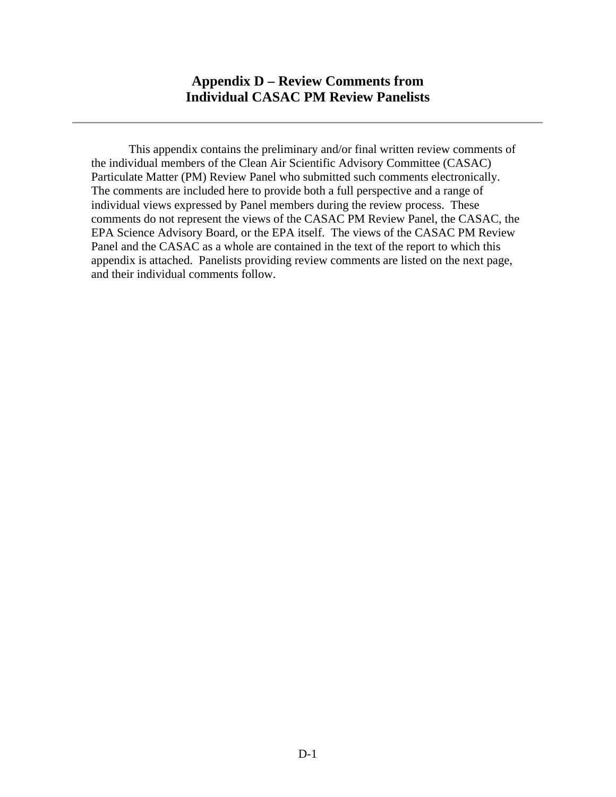This appendix contains the preliminary and/or final written review comments of the individual members of the Clean Air Scientific Advisory Committee (CASAC) Particulate Matter (PM) Review Panel who submitted such comments electronically. The comments are included here to provide both a full perspective and a range of individual views expressed by Panel members during the review process. These comments do not represent the views of the CASAC PM Review Panel, the CASAC, the EPA Science Advisory Board, or the EPA itself. The views of the CASAC PM Review Panel and the CASAC as a whole are contained in the text of the report to which this appendix is attached. Panelists providing review comments are listed on the next page, and their individual comments follow.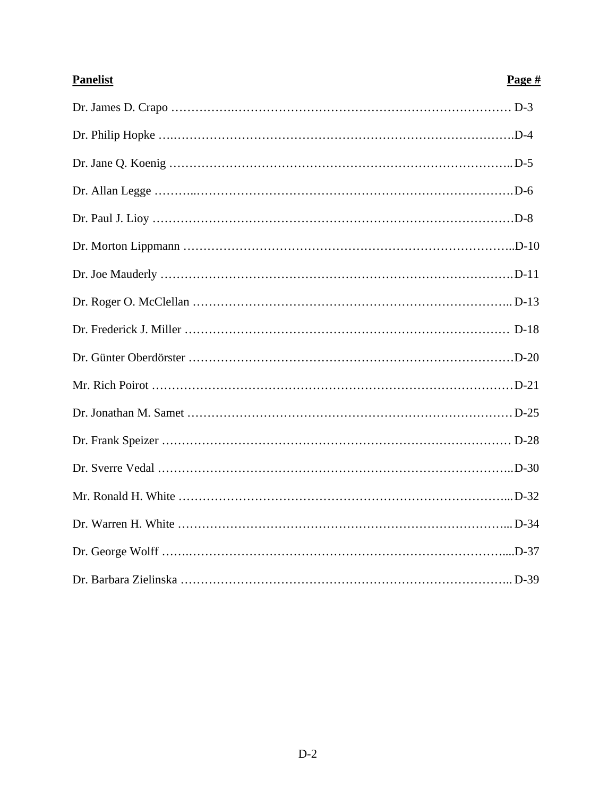| <b>Panelist</b> | Page $#$ |
|-----------------|----------|
|                 |          |
|                 |          |
|                 |          |
|                 |          |
|                 |          |
|                 |          |
|                 |          |
|                 |          |
|                 |          |
|                 |          |
|                 |          |
|                 |          |
|                 |          |
|                 |          |
|                 |          |
|                 |          |
|                 |          |
|                 |          |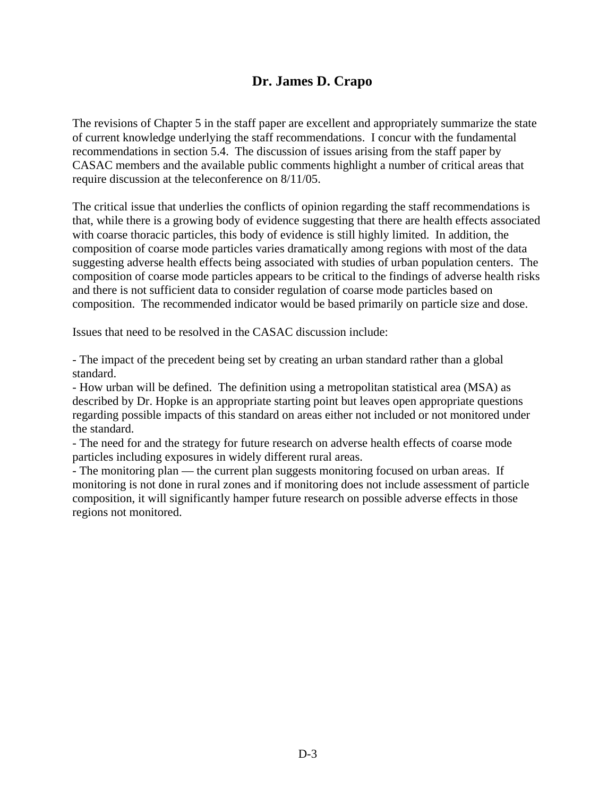# **Dr. James D. Crapo**

The revisions of Chapter 5 in the staff paper are excellent and appropriately summarize the state of current knowledge underlying the staff recommendations. I concur with the fundamental recommendations in section 5.4. The discussion of issues arising from the staff paper by CASAC members and the available public comments highlight a number of critical areas that require discussion at the teleconference on 8/11/05.

The critical issue that underlies the conflicts of opinion regarding the staff recommendations is that, while there is a growing body of evidence suggesting that there are health effects associated with coarse thoracic particles, this body of evidence is still highly limited. In addition, the composition of coarse mode particles varies dramatically among regions with most of the data suggesting adverse health effects being associated with studies of urban population centers. The composition of coarse mode particles appears to be critical to the findings of adverse health risks and there is not sufficient data to consider regulation of coarse mode particles based on composition. The recommended indicator would be based primarily on particle size and dose.

Issues that need to be resolved in the CASAC discussion include:

- The impact of the precedent being set by creating an urban standard rather than a global standard.

- How urban will be defined. The definition using a metropolitan statistical area (MSA) as described by Dr. Hopke is an appropriate starting point but leaves open appropriate questions regarding possible impacts of this standard on areas either not included or not monitored under the standard.

- The need for and the strategy for future research on adverse health effects of coarse mode particles including exposures in widely different rural areas.

- The monitoring plan — the current plan suggests monitoring focused on urban areas. If monitoring is not done in rural zones and if monitoring does not include assessment of particle composition, it will significantly hamper future research on possible adverse effects in those regions not monitored.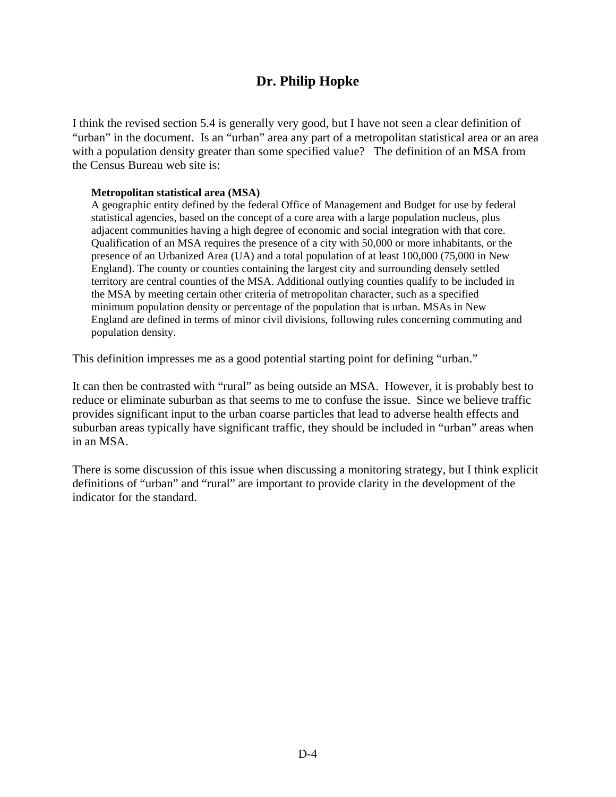# **Dr. Philip Hopke**

I think the revised section 5.4 is generally very good, but I have not seen a clear definition of "urban" in the document. Is an "urban" area any part of a metropolitan statistical area or an area with a population density greater than some specified value? The definition of an MSA from the Census Bureau web site is:

#### **Metropolitan statistical area (MSA)**

A geographic entity defined by the federal Office of Management and Budget for use by federal statistical agencies, based on the concept of a core area with a large population nucleus, plus adjacent communities having a high degree of economic and social integration with that core. Qualification of an MSA requires the presence of a city with 50,000 or more inhabitants, or the presence of an Urbanized Area (UA) and a total population of at least 100,000 (75,000 in New England). The county or counties containing the largest city and surrounding densely settled territory are central counties of the MSA. Additional outlying counties qualify to be included in the MSA by meeting certain other criteria of metropolitan character, such as a specified minimum population density or percentage of the population that is urban. MSAs in New England are defined in terms of minor civil divisions, following rules concerning commuting and population density.

This definition impresses me as a good potential starting point for defining "urban."

It can then be contrasted with "rural" as being outside an MSA. However, it is probably best to reduce or eliminate suburban as that seems to me to confuse the issue. Since we believe traffic provides significant input to the urban coarse particles that lead to adverse health effects and suburban areas typically have significant traffic, they should be included in "urban" areas when in an MSA.

There is some discussion of this issue when discussing a monitoring strategy, but I think explicit definitions of "urban" and "rural" are important to provide clarity in the development of the indicator for the standard.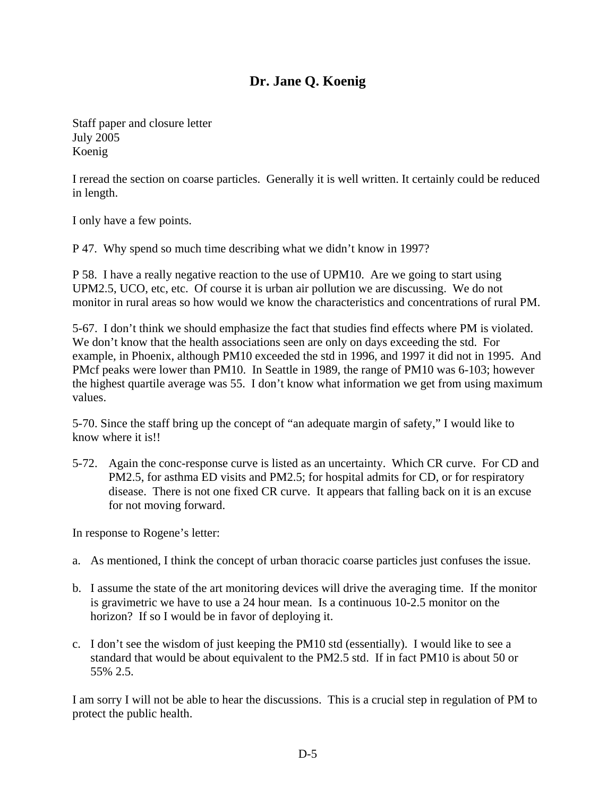# **Dr. Jane Q. Koenig**

Staff paper and closure letter July 2005 Koenig

I reread the section on coarse particles. Generally it is well written. It certainly could be reduced in length.

I only have a few points.

P 47. Why spend so much time describing what we didn't know in 1997?

P 58. I have a really negative reaction to the use of UPM10. Are we going to start using UPM2.5, UCO, etc, etc. Of course it is urban air pollution we are discussing. We do not monitor in rural areas so how would we know the characteristics and concentrations of rural PM.

5-67. I don't think we should emphasize the fact that studies find effects where PM is violated. We don't know that the health associations seen are only on days exceeding the std. For example, in Phoenix, although PM10 exceeded the std in 1996, and 1997 it did not in 1995. And PMcf peaks were lower than PM10. In Seattle in 1989, the range of PM10 was 6-103; however the highest quartile average was 55. I don't know what information we get from using maximum values.

5-70. Since the staff bring up the concept of "an adequate margin of safety," I would like to know where it is!!

5-72. Again the conc-response curve is listed as an uncertainty. Which CR curve. For CD and PM2.5, for asthma ED visits and PM2.5; for hospital admits for CD, or for respiratory disease. There is not one fixed CR curve. It appears that falling back on it is an excuse for not moving forward.

In response to Rogene's letter:

- a. As mentioned, I think the concept of urban thoracic coarse particles just confuses the issue.
- b. I assume the state of the art monitoring devices will drive the averaging time. If the monitor is gravimetric we have to use a 24 hour mean. Is a continuous 10-2.5 monitor on the horizon? If so I would be in favor of deploying it.
- c. I don't see the wisdom of just keeping the PM10 std (essentially). I would like to see a standard that would be about equivalent to the PM2.5 std. If in fact PM10 is about 50 or 55% 2.5.

I am sorry I will not be able to hear the discussions. This is a crucial step in regulation of PM to protect the public health.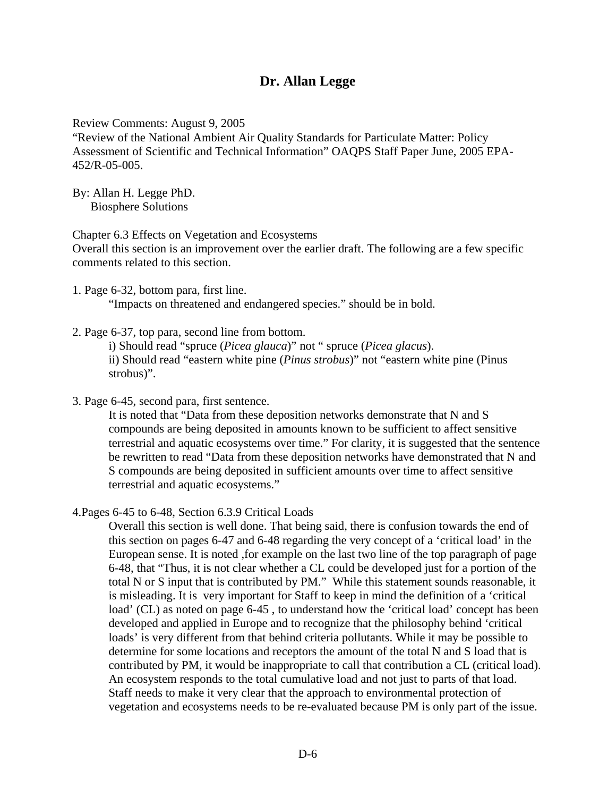# **Dr. Allan Legge**

Review Comments: August 9, 2005

"Review of the National Ambient Air Quality Standards for Particulate Matter: Policy Assessment of Scientific and Technical Information" OAQPS Staff Paper June, 2005 EPA-452/R-05-005.

By: Allan H. Legge PhD. Biosphere Solutions

Chapter 6.3 Effects on Vegetation and Ecosystems

Overall this section is an improvement over the earlier draft. The following are a few specific comments related to this section.

- 1. Page 6-32, bottom para, first line. "Impacts on threatened and endangered species." should be in bold.
- 2. Page 6-37, top para, second line from bottom.

i) Should read "spruce (*Picea glauca*)" not " spruce (*Picea glacus*). ii) Should read "eastern white pine (*Pinus strobus*)" not "eastern white pine (Pinus strobus)".

3. Page 6-45, second para, first sentence.

It is noted that "Data from these deposition networks demonstrate that N and S compounds are being deposited in amounts known to be sufficient to affect sensitive terrestrial and aquatic ecosystems over time." For clarity, it is suggested that the sentence be rewritten to read "Data from these deposition networks have demonstrated that N and S compounds are being deposited in sufficient amounts over time to affect sensitive terrestrial and aquatic ecosystems."

4.Pages 6-45 to 6-48, Section 6.3.9 Critical Loads

Overall this section is well done. That being said, there is confusion towards the end of this section on pages 6-47 and 6-48 regarding the very concept of a 'critical load' in the European sense. It is noted ,for example on the last two line of the top paragraph of page 6-48, that "Thus, it is not clear whether a CL could be developed just for a portion of the total N or S input that is contributed by PM." While this statement sounds reasonable, it is misleading. It is very important for Staff to keep in mind the definition of a 'critical load' (CL) as noted on page 6-45, to understand how the 'critical load' concept has been developed and applied in Europe and to recognize that the philosophy behind 'critical loads' is very different from that behind criteria pollutants. While it may be possible to determine for some locations and receptors the amount of the total N and S load that is contributed by PM, it would be inappropriate to call that contribution a CL (critical load). An ecosystem responds to the total cumulative load and not just to parts of that load. Staff needs to make it very clear that the approach to environmental protection of vegetation and ecosystems needs to be re-evaluated because PM is only part of the issue.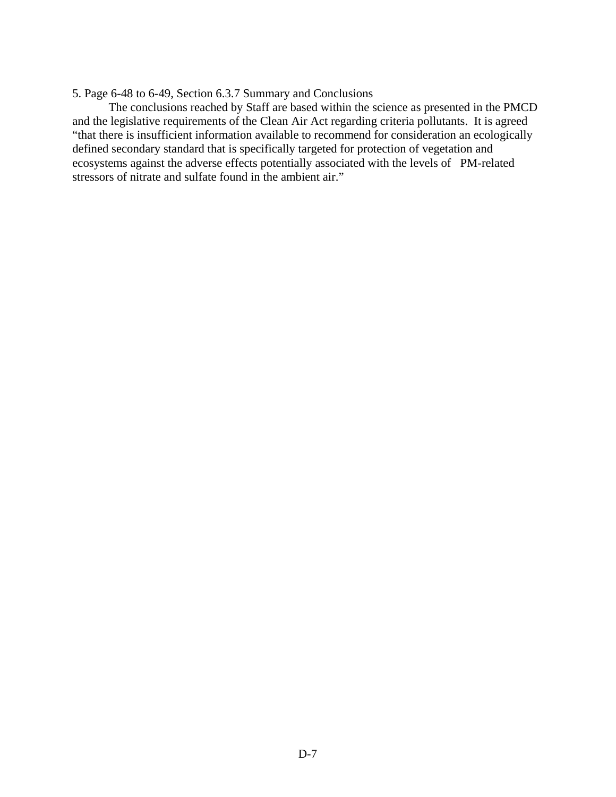#### 5. Page 6-48 to 6-49, Section 6.3.7 Summary and Conclusions

The conclusions reached by Staff are based within the science as presented in the PMCD and the legislative requirements of the Clean Air Act regarding criteria pollutants. It is agreed "that there is insufficient information available to recommend for consideration an ecologically defined secondary standard that is specifically targeted for protection of vegetation and ecosystems against the adverse effects potentially associated with the levels of PM-related stressors of nitrate and sulfate found in the ambient air."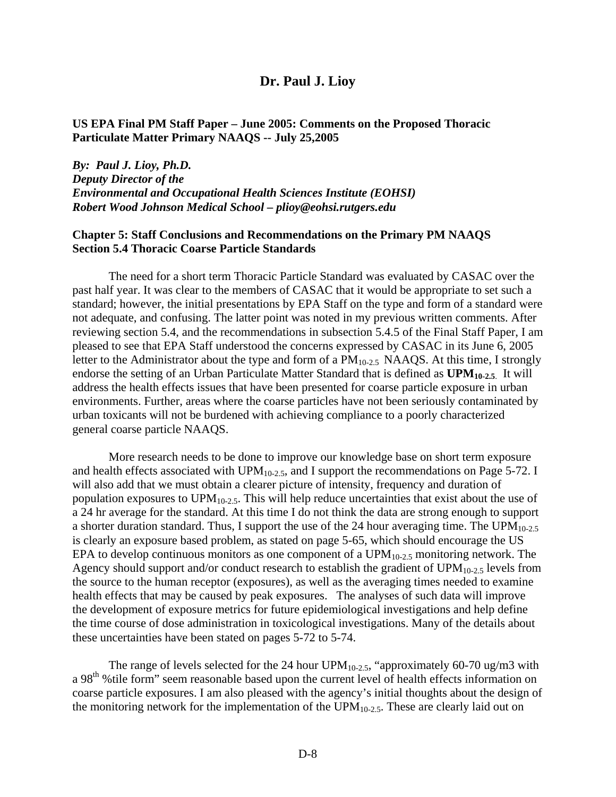### **Dr. Paul J. Lioy**

### **US EPA Final PM Staff Paper – June 2005: Comments on the Proposed Thoracic Particulate Matter Primary NAAQS -- July 25,2005**

*By: Paul J. Lioy, Ph.D. Deputy Director of the Environmental and Occupational Health Sciences Institute (EOHSI) Robert Wood Johnson Medical School – plioy@eohsi.rutgers.edu* 

#### **Chapter 5: Staff Conclusions and Recommendations on the Primary PM NAAQS Section 5.4 Thoracic Coarse Particle Standards**

The need for a short term Thoracic Particle Standard was evaluated by CASAC over the past half year. It was clear to the members of CASAC that it would be appropriate to set such a standard; however, the initial presentations by EPA Staff on the type and form of a standard were not adequate, and confusing. The latter point was noted in my previous written comments. After reviewing section 5.4, and the recommendations in subsection 5.4.5 of the Final Staff Paper, I am pleased to see that EPA Staff understood the concerns expressed by CASAC in its June 6, 2005 letter to the Administrator about the type and form of a  $PM<sub>10-2.5</sub>$  NAAQS. At this time, I strongly endorse the setting of an Urban Particulate Matter Standard that is defined as  $UPM_{10-2.5}$ . It will address the health effects issues that have been presented for coarse particle exposure in urban environments. Further, areas where the coarse particles have not been seriously contaminated by urban toxicants will not be burdened with achieving compliance to a poorly characterized general coarse particle NAAQS.

More research needs to be done to improve our knowledge base on short term exposure and health effects associated with UPM<sub>10-2.5</sub>, and I support the recommendations on Page 5-72. I will also add that we must obtain a clearer picture of intensity, frequency and duration of population exposures to UPM<sub>10-2.5</sub>. This will help reduce uncertainties that exist about the use of a 24 hr average for the standard. At this time I do not think the data are strong enough to support a shorter duration standard. Thus, I support the use of the 24 hour averaging time. The  $UPM<sub>10-2.5</sub>$ is clearly an exposure based problem, as stated on page 5-65, which should encourage the US EPA to develop continuous monitors as one component of a  $UPM_{10-2.5}$  monitoring network. The Agency should support and/or conduct research to establish the gradient of  $UPM<sub>10-2.5</sub>$  levels from the source to the human receptor (exposures), as well as the averaging times needed to examine health effects that may be caused by peak exposures. The analyses of such data will improve the development of exposure metrics for future epidemiological investigations and help define the time course of dose administration in toxicological investigations. Many of the details about these uncertainties have been stated on pages 5-72 to 5-74.

The range of levels selected for the 24 hour UPM<sub>10-2.5</sub>, "approximately 60-70 ug/m3 with a 98<sup>th</sup> % tile form" seem reasonable based upon the current level of health effects information on coarse particle exposures. I am also pleased with the agency's initial thoughts about the design of the monitoring network for the implementation of the  $UPM_{10-2.5}$ . These are clearly laid out on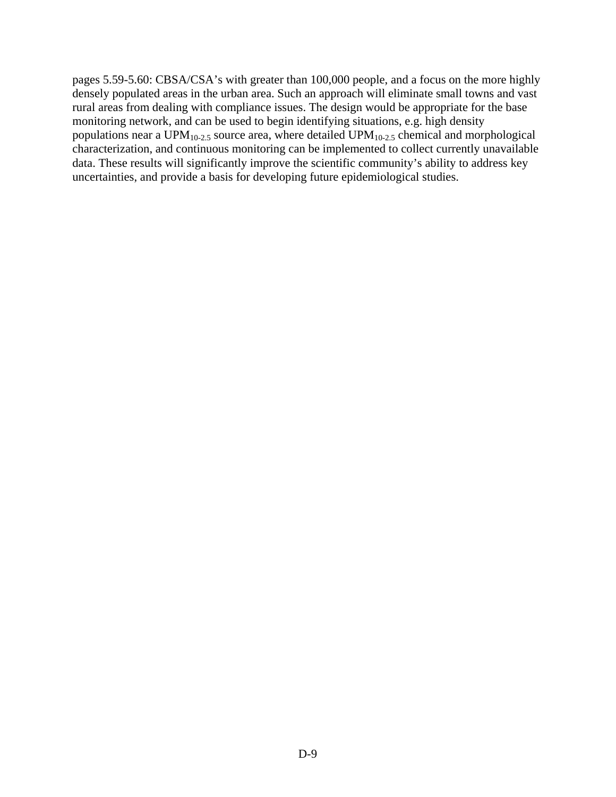pages 5.59-5.60: CBSA/CSA's with greater than 100,000 people, and a focus on the more highly densely populated areas in the urban area. Such an approach will eliminate small towns and vast rural areas from dealing with compliance issues. The design would be appropriate for the base monitoring network, and can be used to begin identifying situations, e.g. high density populations near a UPM<sub>10-2.5</sub> source area, where detailed UPM<sub>10-2.5</sub> chemical and morphological characterization, and continuous monitoring can be implemented to collect currently unavailable data. These results will significantly improve the scientific community's ability to address key uncertainties, and provide a basis for developing future epidemiological studies.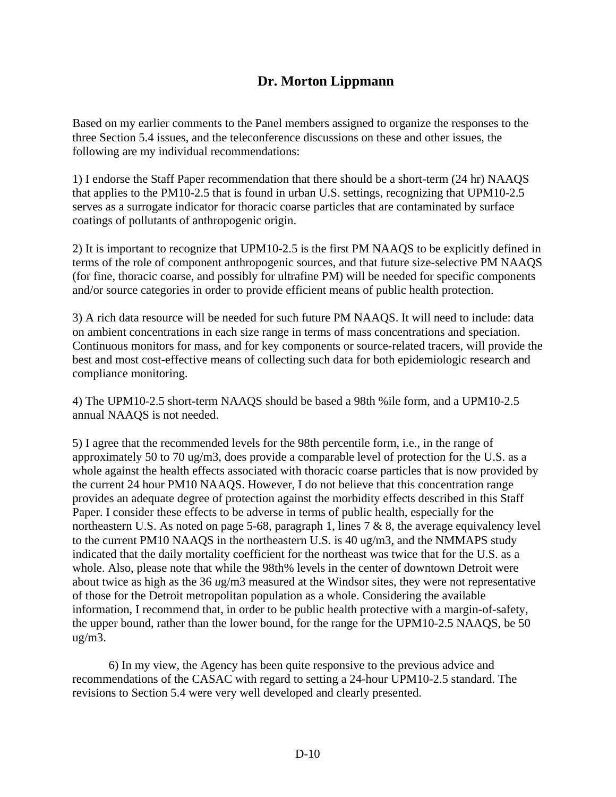# **Dr. Morton Lippmann**

Based on my earlier comments to the Panel members assigned to organize the responses to the three Section 5.4 issues, and the teleconference discussions on these and other issues, the following are my individual recommendations:

1) I endorse the Staff Paper recommendation that there should be a short-term (24 hr) NAAQS that applies to the PM10-2.5 that is found in urban U.S. settings, recognizing that UPM10-2.5 serves as a surrogate indicator for thoracic coarse particles that are contaminated by surface coatings of pollutants of anthropogenic origin.

2) It is important to recognize that UPM10-2.5 is the first PM NAAQS to be explicitly defined in terms of the role of component anthropogenic sources, and that future size-selective PM NAAQS (for fine, thoracic coarse, and possibly for ultrafine PM) will be needed for specific components and/or source categories in order to provide efficient means of public health protection.

3) A rich data resource will be needed for such future PM NAAQS. It will need to include: data on ambient concentrations in each size range in terms of mass concentrations and speciation. Continuous monitors for mass, and for key components or source-related tracers, will provide the best and most cost-effective means of collecting such data for both epidemiologic research and compliance monitoring.

4) The UPM10-2.5 short-term NAAQS should be based a 98th %ile form, and a UPM10-2.5 annual NAAQS is not needed.

5) I agree that the recommended levels for the 98th percentile form, i.e., in the range of approximately 50 to 70 ug/m3, does provide a comparable level of protection for the U.S. as a whole against the health effects associated with thoracic coarse particles that is now provided by the current 24 hour PM10 NAAQS. However, I do not believe that this concentration range provides an adequate degree of protection against the morbidity effects described in this Staff Paper. I consider these effects to be adverse in terms of public health, especially for the northeastern U.S. As noted on page 5-68, paragraph 1, lines 7 & 8, the average equivalency level to the current PM10 NAAQS in the northeastern U.S. is 40 ug/m3, and the NMMAPS study indicated that the daily mortality coefficient for the northeast was twice that for the U.S. as a whole. Also, please note that while the 98th% levels in the center of downtown Detroit were about twice as high as the 36 *u*g/m3 measured at the Windsor sites, they were not representative of those for the Detroit metropolitan population as a whole. Considering the available information, I recommend that, in order to be public health protective with a margin-of-safety, the upper bound, rather than the lower bound, for the range for the UPM10-2.5 NAAQS, be 50 ug/m3.

6) In my view, the Agency has been quite responsive to the previous advice and recommendations of the CASAC with regard to setting a 24-hour UPM10-2.5 standard. The revisions to Section 5.4 were very well developed and clearly presented.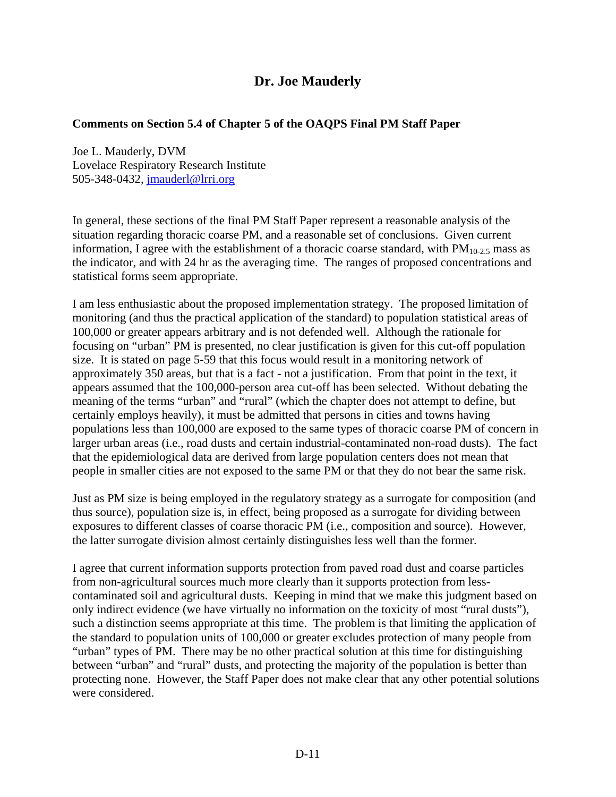# **Dr. Joe Mauderly**

## **Comments on Section 5.4 of Chapter 5 of the OAQPS Final PM Staff Paper**

Joe L. Mauderly, DVM Lovelace Respiratory Research Institute 505-348-0432, [jmauderl@lrri.org](mailto:jmauderl@lrri.org) 

In general, these sections of the final PM Staff Paper represent a reasonable analysis of the situation regarding thoracic coarse PM, and a reasonable set of conclusions. Given current information, I agree with the establishment of a thoracic coarse standard, with  $PM_{10-2.5}$  mass as the indicator, and with 24 hr as the averaging time. The ranges of proposed concentrations and statistical forms seem appropriate.

I am less enthusiastic about the proposed implementation strategy. The proposed limitation of monitoring (and thus the practical application of the standard) to population statistical areas of 100,000 or greater appears arbitrary and is not defended well. Although the rationale for focusing on "urban" PM is presented, no clear justification is given for this cut-off population size. It is stated on page 5-59 that this focus would result in a monitoring network of approximately 350 areas, but that is a fact - not a justification. From that point in the text, it appears assumed that the 100,000-person area cut-off has been selected. Without debating the meaning of the terms "urban" and "rural" (which the chapter does not attempt to define, but certainly employs heavily), it must be admitted that persons in cities and towns having populations less than 100,000 are exposed to the same types of thoracic coarse PM of concern in larger urban areas (i.e., road dusts and certain industrial-contaminated non-road dusts). The fact that the epidemiological data are derived from large population centers does not mean that people in smaller cities are not exposed to the same PM or that they do not bear the same risk.

Just as PM size is being employed in the regulatory strategy as a surrogate for composition (and thus source), population size is, in effect, being proposed as a surrogate for dividing between exposures to different classes of coarse thoracic PM (i.e., composition and source). However, the latter surrogate division almost certainly distinguishes less well than the former.

I agree that current information supports protection from paved road dust and coarse particles from non-agricultural sources much more clearly than it supports protection from lesscontaminated soil and agricultural dusts. Keeping in mind that we make this judgment based on only indirect evidence (we have virtually no information on the toxicity of most "rural dusts"), such a distinction seems appropriate at this time. The problem is that limiting the application of the standard to population units of 100,000 or greater excludes protection of many people from "urban" types of PM. There may be no other practical solution at this time for distinguishing between "urban" and "rural" dusts, and protecting the majority of the population is better than protecting none. However, the Staff Paper does not make clear that any other potential solutions were considered.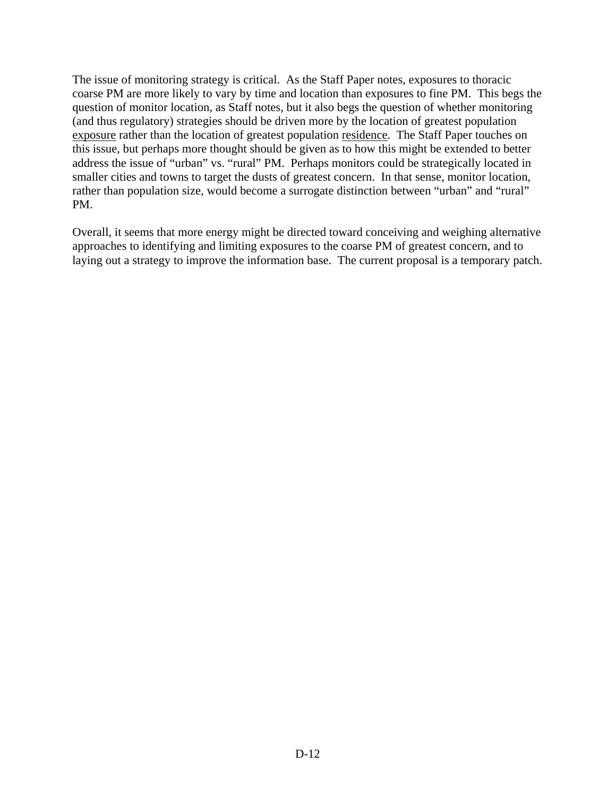The issue of monitoring strategy is critical. As the Staff Paper notes, exposures to thoracic coarse PM are more likely to vary by time and location than exposures to fine PM. This begs the question of monitor location, as Staff notes, but it also begs the question of whether monitoring (and thus regulatory) strategies should be driven more by the location of greatest population exposure rather than the location of greatest population residence. The Staff Paper touches on this issue, but perhaps more thought should be given as to how this might be extended to better address the issue of "urban" vs. "rural" PM. Perhaps monitors could be strategically located in smaller cities and towns to target the dusts of greatest concern. In that sense, monitor location, rather than population size, would become a surrogate distinction between "urban" and "rural" PM.

Overall, it seems that more energy might be directed toward conceiving and weighing alternative approaches to identifying and limiting exposures to the coarse PM of greatest concern, and to laying out a strategy to improve the information base. The current proposal is a temporary patch.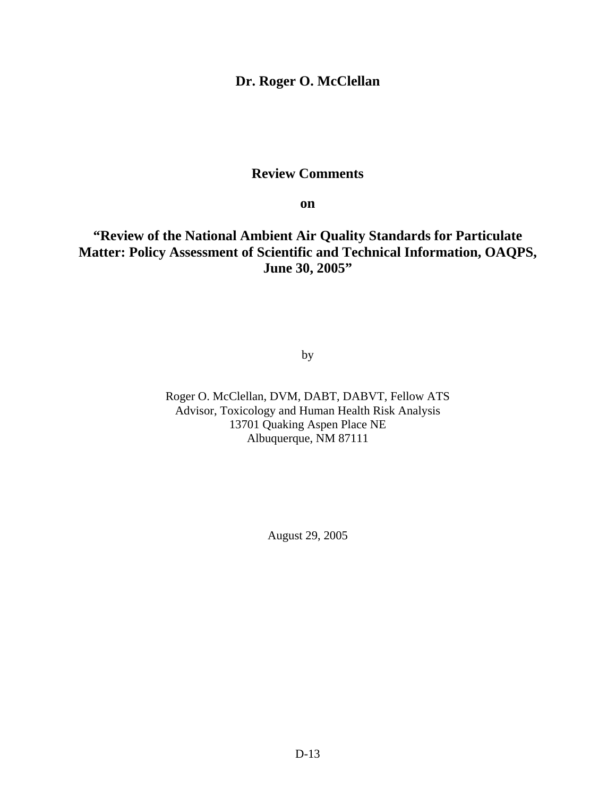## **Dr. Roger O. McClellan**

## **Review Comments**

**on** 

# **"Review of the National Ambient Air Quality Standards for Particulate Matter: Policy Assessment of Scientific and Technical Information, OAQPS, June 30, 2005"**

by

Roger O. McClellan, DVM, DABT, DABVT, Fellow ATS Advisor, Toxicology and Human Health Risk Analysis 13701 Quaking Aspen Place NE Albuquerque, NM 87111

August 29, 2005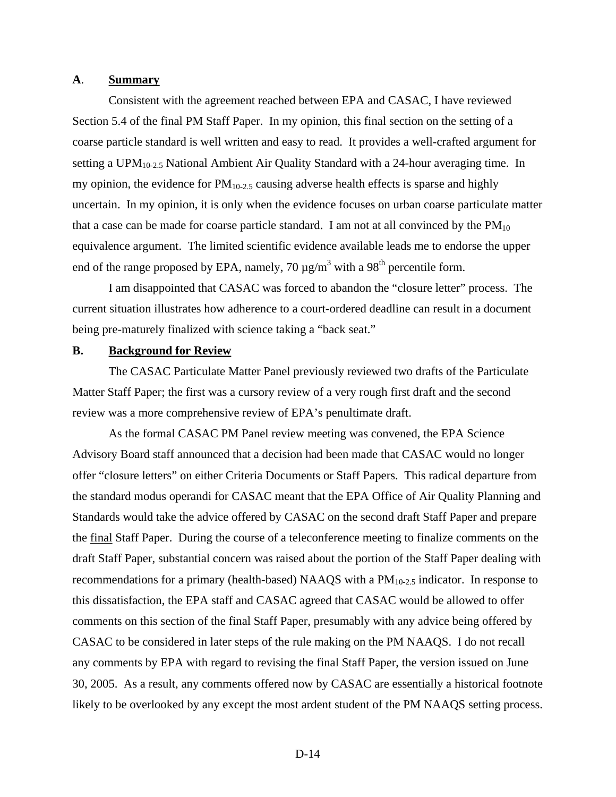#### **A**. **Summary**

Consistent with the agreement reached between EPA and CASAC, I have reviewed Section 5.4 of the final PM Staff Paper. In my opinion, this final section on the setting of a coarse particle standard is well written and easy to read. It provides a well-crafted argument for setting a  $UPM<sub>10-2.5</sub>$  National Ambient Air Quality Standard with a 24-hour averaging time. In my opinion, the evidence for  $PM_{10-2.5}$  causing adverse health effects is sparse and highly uncertain. In my opinion, it is only when the evidence focuses on urban coarse particulate matter that a case can be made for coarse particle standard. I am not at all convinced by the  $PM_{10}$ equivalence argument. The limited scientific evidence available leads me to endorse the upper end of the range proposed by EPA, namely, 70  $\mu$ g/m<sup>3</sup> with a 98<sup>th</sup> percentile form.

I am disappointed that CASAC was forced to abandon the "closure letter" process. The current situation illustrates how adherence to a court-ordered deadline can result in a document being pre-maturely finalized with science taking a "back seat."

### **B. Background for Review**

The CASAC Particulate Matter Panel previously reviewed two drafts of the Particulate Matter Staff Paper; the first was a cursory review of a very rough first draft and the second review was a more comprehensive review of EPA's penultimate draft.

As the formal CASAC PM Panel review meeting was convened, the EPA Science Advisory Board staff announced that a decision had been made that CASAC would no longer offer "closure letters" on either Criteria Documents or Staff Papers. This radical departure from the standard modus operandi for CASAC meant that the EPA Office of Air Quality Planning and Standards would take the advice offered by CASAC on the second draft Staff Paper and prepare the final Staff Paper. During the course of a teleconference meeting to finalize comments on the draft Staff Paper, substantial concern was raised about the portion of the Staff Paper dealing with recommendations for a primary (health-based) NAAQS with a PM<sub>10-2.5</sub> indicator. In response to this dissatisfaction, the EPA staff and CASAC agreed that CASAC would be allowed to offer comments on this section of the final Staff Paper, presumably with any advice being offered by CASAC to be considered in later steps of the rule making on the PM NAAQS. I do not recall any comments by EPA with regard to revising the final Staff Paper, the version issued on June 30, 2005. As a result, any comments offered now by CASAC are essentially a historical footnote likely to be overlooked by any except the most ardent student of the PM NAAQS setting process.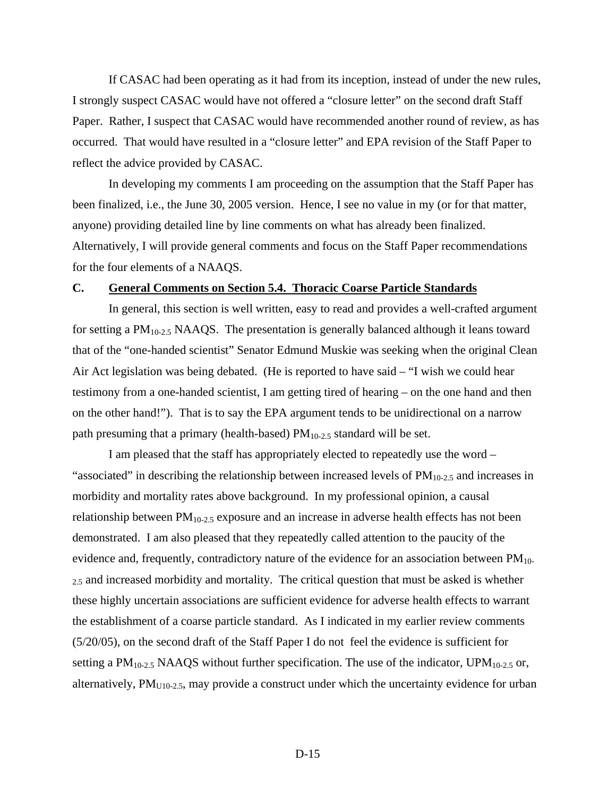If CASAC had been operating as it had from its inception, instead of under the new rules, I strongly suspect CASAC would have not offered a "closure letter" on the second draft Staff Paper. Rather, I suspect that CASAC would have recommended another round of review, as has occurred. That would have resulted in a "closure letter" and EPA revision of the Staff Paper to reflect the advice provided by CASAC.

In developing my comments I am proceeding on the assumption that the Staff Paper has been finalized, i.e., the June 30, 2005 version. Hence, I see no value in my (or for that matter, anyone) providing detailed line by line comments on what has already been finalized. Alternatively, I will provide general comments and focus on the Staff Paper recommendations for the four elements of a NAAQS.

#### **C. General Comments on Section 5.4. Thoracic Coarse Particle Standards**

In general, this section is well written, easy to read and provides a well-crafted argument for setting a  $PM_{10-2.5}$  NAAQS. The presentation is generally balanced although it leans toward that of the "one-handed scientist" Senator Edmund Muskie was seeking when the original Clean Air Act legislation was being debated. (He is reported to have said – "I wish we could hear testimony from a one-handed scientist, I am getting tired of hearing – on the one hand and then on the other hand!"). That is to say the EPA argument tends to be unidirectional on a narrow path presuming that a primary (health-based)  $PM<sub>10-2.5</sub>$  standard will be set.

I am pleased that the staff has appropriately elected to repeatedly use the word – "associated" in describing the relationship between increased levels of  $PM<sub>10-2.5</sub>$  and increases in morbidity and mortality rates above background. In my professional opinion, a causal relationship between  $PM_{10-2.5}$  exposure and an increase in adverse health effects has not been demonstrated. I am also pleased that they repeatedly called attention to the paucity of the evidence and, frequently, contradictory nature of the evidence for an association between  $PM_{10-}$ 2.5 and increased morbidity and mortality. The critical question that must be asked is whether these highly uncertain associations are sufficient evidence for adverse health effects to warrant the establishment of a coarse particle standard. As I indicated in my earlier review comments (5/20/05), on the second draft of the Staff Paper I do not feel the evidence is sufficient for setting a  $PM_{10-2.5}$  NAAQS without further specification. The use of the indicator, UPM<sub>10-2.5</sub> or, alternatively,  $PM<sub>U10-2.5</sub>$ , may provide a construct under which the uncertainty evidence for urban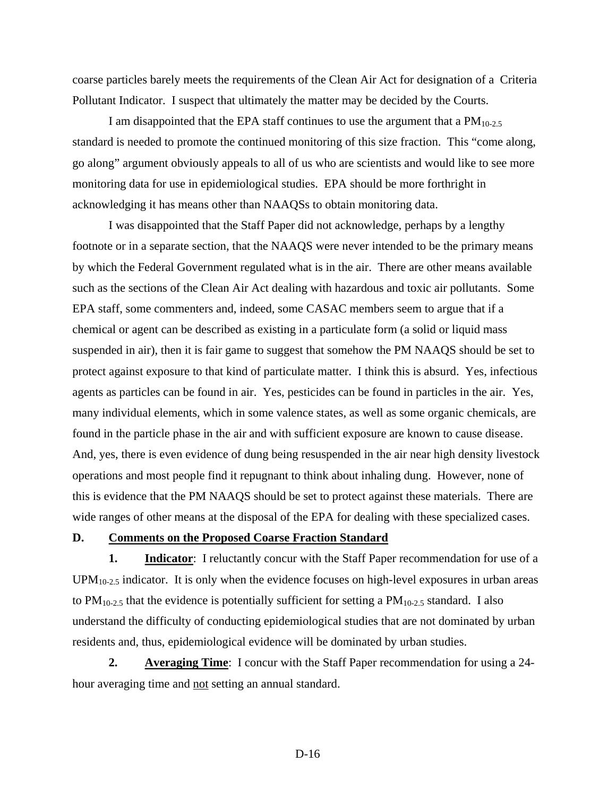coarse particles barely meets the requirements of the Clean Air Act for designation of a Criteria Pollutant Indicator. I suspect that ultimately the matter may be decided by the Courts.

I am disappointed that the EPA staff continues to use the argument that a  $PM<sub>10-2.5</sub>$ standard is needed to promote the continued monitoring of this size fraction. This "come along, go along" argument obviously appeals to all of us who are scientists and would like to see more monitoring data for use in epidemiological studies. EPA should be more forthright in acknowledging it has means other than NAAQSs to obtain monitoring data.

I was disappointed that the Staff Paper did not acknowledge, perhaps by a lengthy footnote or in a separate section, that the NAAQS were never intended to be the primary means by which the Federal Government regulated what is in the air. There are other means available such as the sections of the Clean Air Act dealing with hazardous and toxic air pollutants. Some EPA staff, some commenters and, indeed, some CASAC members seem to argue that if a chemical or agent can be described as existing in a particulate form (a solid or liquid mass suspended in air), then it is fair game to suggest that somehow the PM NAAQS should be set to protect against exposure to that kind of particulate matter. I think this is absurd. Yes, infectious agents as particles can be found in air. Yes, pesticides can be found in particles in the air. Yes, many individual elements, which in some valence states, as well as some organic chemicals, are found in the particle phase in the air and with sufficient exposure are known to cause disease. And, yes, there is even evidence of dung being resuspended in the air near high density livestock operations and most people find it repugnant to think about inhaling dung. However, none of this is evidence that the PM NAAQS should be set to protect against these materials. There are wide ranges of other means at the disposal of the EPA for dealing with these specialized cases.

#### **D. Comments on the Proposed Coarse Fraction Standard**

**1.** Indicator: I reluctantly concur with the Staff Paper recommendation for use of a  $UPM<sub>10-2.5</sub>$  indicator. It is only when the evidence focuses on high-level exposures in urban areas to  $PM_{10-2.5}$  that the evidence is potentially sufficient for setting a  $PM_{10-2.5}$  standard. I also understand the difficulty of conducting epidemiological studies that are not dominated by urban residents and, thus, epidemiological evidence will be dominated by urban studies.

**2.** Averaging Time: I concur with the Staff Paper recommendation for using a 24hour averaging time and not setting an annual standard.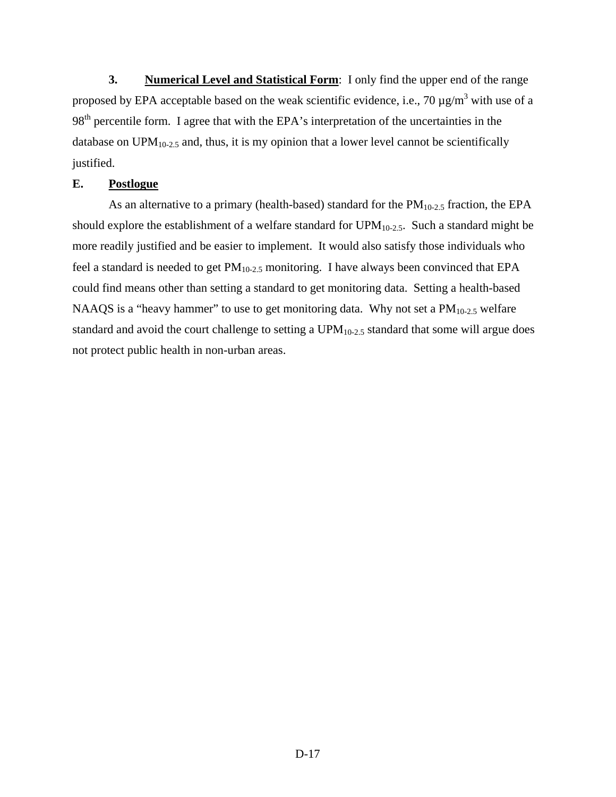**3.** Numerical Level and Statistical Form: I only find the upper end of the range proposed by EPA acceptable based on the weak scientific evidence, i.e., 70  $\mu$ g/m<sup>3</sup> with use of a 98<sup>th</sup> percentile form. I agree that with the EPA's interpretation of the uncertainties in the database on  $UPM_{10-2.5}$  and, thus, it is my opinion that a lower level cannot be scientifically justified.

### **E. Postlogue**

As an alternative to a primary (health-based) standard for the  $PM_{10-2.5}$  fraction, the EPA should explore the establishment of a welfare standard for UPM10-2.5. Such a standard might be more readily justified and be easier to implement. It would also satisfy those individuals who feel a standard is needed to get  $PM_{10-2.5}$  monitoring. I have always been convinced that EPA could find means other than setting a standard to get monitoring data. Setting a health-based NAAQS is a "heavy hammer" to use to get monitoring data. Why not set a  $PM_{10-2.5}$  welfare standard and avoid the court challenge to setting a UPM<sub>10-2.5</sub> standard that some will argue does not protect public health in non-urban areas.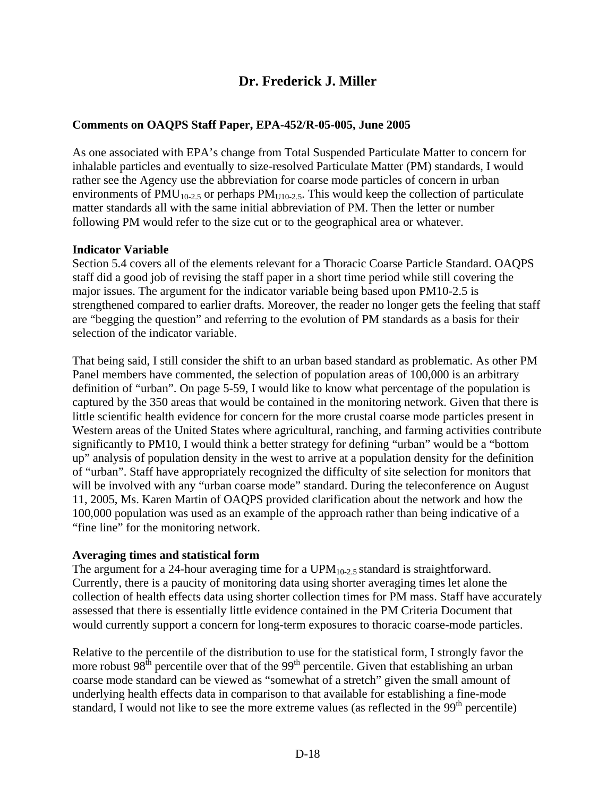# **Dr. Frederick J. Miller**

## **Comments on OAQPS Staff Paper, EPA-452/R-05-005, June 2005**

As one associated with EPA's change from Total Suspended Particulate Matter to concern for inhalable particles and eventually to size-resolved Particulate Matter (PM) standards, I would rather see the Agency use the abbreviation for coarse mode particles of concern in urban environments of  $PMU_{10-2.5}$  or perhaps  $PM_{U10-2.5}$ . This would keep the collection of particulate matter standards all with the same initial abbreviation of PM. Then the letter or number following PM would refer to the size cut or to the geographical area or whatever.

### **Indicator Variable**

Section 5.4 covers all of the elements relevant for a Thoracic Coarse Particle Standard. OAQPS staff did a good job of revising the staff paper in a short time period while still covering the major issues. The argument for the indicator variable being based upon PM10-2.5 is strengthened compared to earlier drafts. Moreover, the reader no longer gets the feeling that staff are "begging the question" and referring to the evolution of PM standards as a basis for their selection of the indicator variable.

That being said, I still consider the shift to an urban based standard as problematic. As other PM Panel members have commented, the selection of population areas of 100,000 is an arbitrary definition of "urban". On page 5-59, I would like to know what percentage of the population is captured by the 350 areas that would be contained in the monitoring network. Given that there is little scientific health evidence for concern for the more crustal coarse mode particles present in Western areas of the United States where agricultural, ranching, and farming activities contribute significantly to PM10, I would think a better strategy for defining "urban" would be a "bottom up" analysis of population density in the west to arrive at a population density for the definition of "urban". Staff have appropriately recognized the difficulty of site selection for monitors that will be involved with any "urban coarse mode" standard. During the teleconference on August 11, 2005, Ms. Karen Martin of OAQPS provided clarification about the network and how the 100,000 population was used as an example of the approach rather than being indicative of a "fine line" for the monitoring network.

### **Averaging times and statistical form**

The argument for a 24-hour averaging time for a  $UPM<sub>10-2.5</sub>$  standard is straightforward. Currently, there is a paucity of monitoring data using shorter averaging times let alone the collection of health effects data using shorter collection times for PM mass. Staff have accurately assessed that there is essentially little evidence contained in the PM Criteria Document that would currently support a concern for long-term exposures to thoracic coarse-mode particles.

Relative to the percentile of the distribution to use for the statistical form, I strongly favor the more robust  $98<sup>th</sup>$  percentile over that of the  $99<sup>th</sup>$  percentile. Given that establishing an urban coarse mode standard can be viewed as "somewhat of a stretch" given the small amount of underlying health effects data in comparison to that available for establishing a fine-mode standard, I would not like to see the more extreme values (as reflected in the  $99<sup>th</sup>$  percentile)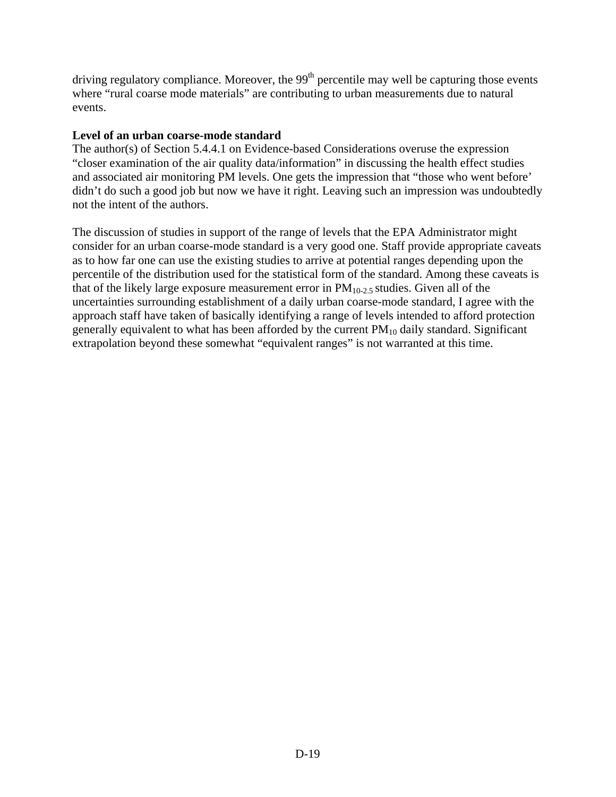driving regulatory compliance. Moreover, the  $99<sup>th</sup>$  percentile may well be capturing those events where "rural coarse mode materials" are contributing to urban measurements due to natural events.

## **Level of an urban coarse-mode standard**

The author(s) of Section 5.4.4.1 on Evidence-based Considerations overuse the expression "closer examination of the air quality data/information" in discussing the health effect studies and associated air monitoring PM levels. One gets the impression that "those who went before' didn't do such a good job but now we have it right. Leaving such an impression was undoubtedly not the intent of the authors.

The discussion of studies in support of the range of levels that the EPA Administrator might consider for an urban coarse-mode standard is a very good one. Staff provide appropriate caveats as to how far one can use the existing studies to arrive at potential ranges depending upon the percentile of the distribution used for the statistical form of the standard. Among these caveats is that of the likely large exposure measurement error in  $PM_{10-2.5}$  studies. Given all of the uncertainties surrounding establishment of a daily urban coarse-mode standard, I agree with the approach staff have taken of basically identifying a range of levels intended to afford protection generally equivalent to what has been afforded by the current  $PM_{10}$  daily standard. Significant extrapolation beyond these somewhat "equivalent ranges" is not warranted at this time.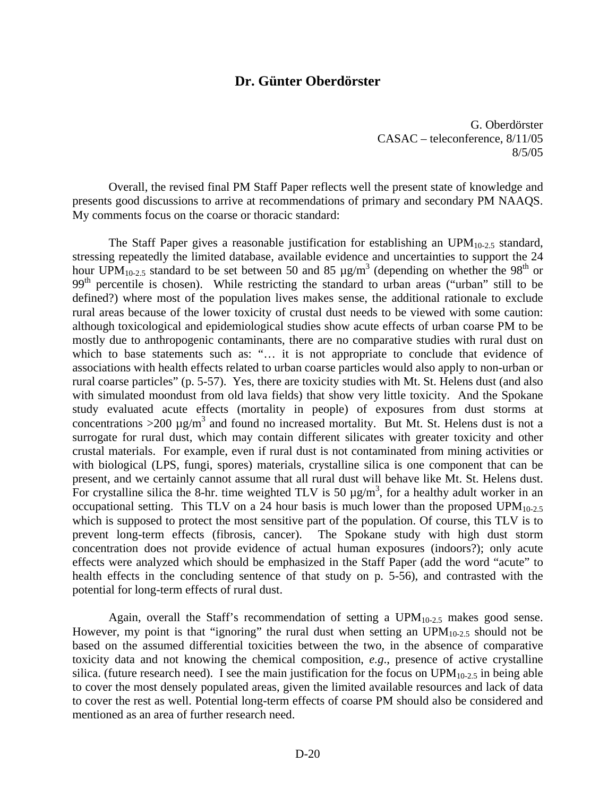### **Dr. Günter Oberdörster**

8/5/05 G. Oberdörster CASAC – teleconference, 8/11/05

Overall, the revised final PM Staff Paper reflects well the present state of knowledge and presents good discussions to arrive at recommendations of primary and secondary PM NAAQS. My comments focus on the coarse or thoracic standard:

The Staff Paper gives a reasonable justification for establishing an  $UPM_{10-2.5}$  standard, stressing repeatedly the limited database, available evidence and uncertainties to support the 24 hour UPM<sub>10-2.5</sub> standard to be set between 50 and 85  $\mu$ g/m<sup>3</sup> (depending on whether the 98<sup>th</sup> or 99<sup>th</sup> percentile is chosen). While restricting the standard to urban areas ("urban" still to be defined?) where most of the population lives makes sense, the additional rationale to exclude rural areas because of the lower toxicity of crustal dust needs to be viewed with some caution: although toxicological and epidemiological studies show acute effects of urban coarse PM to be mostly due to anthropogenic contaminants, there are no comparative studies with rural dust on which to base statements such as: "... it is not appropriate to conclude that evidence of associations with health effects related to urban coarse particles would also apply to non-urban or rural coarse particles" (p. 5-57). Yes, there are toxicity studies with Mt. St. Helens dust (and also with simulated moondust from old lava fields) that show very little toxicity. And the Spokane study evaluated acute effects (mortality in people) of exposures from dust storms at concentrations >200  $\mu$ g/m<sup>3</sup> and found no increased mortality. But Mt. St. Helens dust is not a surrogate for rural dust, which may contain different silicates with greater toxicity and other crustal materials. For example, even if rural dust is not contaminated from mining activities or with biological (LPS, fungi, spores) materials, crystalline silica is one component that can be present, and we certainly cannot assume that all rural dust will behave like Mt. St. Helens dust. For crystalline silica the 8-hr. time weighted TLV is 50  $\mu$ g/m<sup>3</sup>, for a healthy adult worker in an occupational setting. This TLV on a 24 hour basis is much lower than the proposed UPM<sub>10-2.5</sub> which is supposed to protect the most sensitive part of the population. Of course, this TLV is to prevent long-term effects (fibrosis, cancer). The Spokane study with high dust storm concentration does not provide evidence of actual human exposures (indoors?); only acute effects were analyzed which should be emphasized in the Staff Paper (add the word "acute" to health effects in the concluding sentence of that study on p. 5-56), and contrasted with the potential for long-term effects of rural dust.

Again, overall the Staff's recommendation of setting a  $UPM<sub>10-2.5</sub>$  makes good sense. However, my point is that "ignoring" the rural dust when setting an  $UPM_{10-2.5}$  should not be based on the assumed differential toxicities between the two, in the absence of comparative toxicity data and not knowing the chemical composition, *e.g*., presence of active crystalline silica. (future research need). I see the main justification for the focus on  $UPM_{10-2.5}$  in being able to cover the most densely populated areas, given the limited available resources and lack of data to cover the rest as well. Potential long-term effects of coarse PM should also be considered and mentioned as an area of further research need.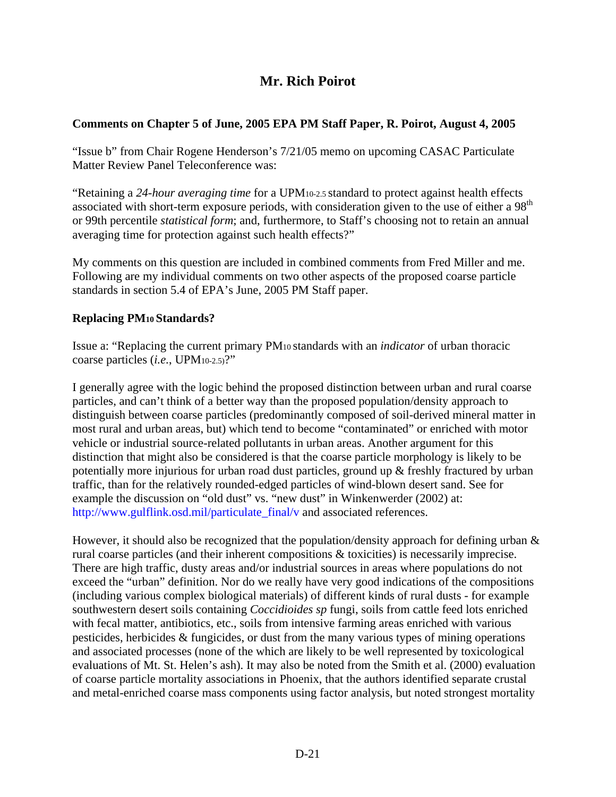# **Mr. Rich Poirot**

## **Comments on Chapter 5 of June, 2005 EPA PM Staff Paper, R. Poirot, August 4, 2005**

"Issue b" from Chair Rogene Henderson's 7/21/05 memo on upcoming CASAC Particulate Matter Review Panel Teleconference was:

"Retaining a *24-hour averaging time* for a UPM10-2.5 standard to protect against health effects associated with short-term exposure periods, with consideration given to the use of either a 98<sup>th</sup> or 99th percentile *statistical form*; and, furthermore, to Staff's choosing not to retain an annual averaging time for protection against such health effects?"

My comments on this question are included in combined comments from Fred Miller and me. Following are my individual comments on two other aspects of the proposed coarse particle standards in section 5.4 of EPA's June, 2005 PM Staff paper.

## **Replacing PM10 Standards?**

Issue a: "Replacing the current primary PM10 standards with an *indicator* of urban thoracic coarse particles (*i.e.*, UPM10-2.5)?"

I generally agree with the logic behind the proposed distinction between urban and rural coarse particles, and can't think of a better way than the proposed population/density approach to distinguish between coarse particles (predominantly composed of soil-derived mineral matter in most rural and urban areas, but) which tend to become "contaminated" or enriched with motor vehicle or industrial source-related pollutants in urban areas. Another argument for this distinction that might also be considered is that the coarse particle morphology is likely to be potentially more injurious for urban road dust particles, ground up & freshly fractured by urban traffic, than for the relatively rounded-edged particles of wind-blown desert sand. See for example the discussion on "old dust" vs. "new dust" in Winkenwerder (2002) at: [http://www.gulflink.osd.mil/particulate\\_final/v](http://www.gulflink.osd.mil/particulate_final/v) and associated references.

However, it should also be recognized that the population/density approach for defining urban  $\&$ rural coarse particles (and their inherent compositions & toxicities) is necessarily imprecise. There are high traffic, dusty areas and/or industrial sources in areas where populations do not exceed the "urban" definition. Nor do we really have very good indications of the compositions (including various complex biological materials) of different kinds of rural dusts - for example southwestern desert soils containing *Coccidioides sp* fungi, soils from cattle feed lots enriched with fecal matter, antibiotics, etc., soils from intensive farming areas enriched with various pesticides, herbicides & fungicides, or dust from the many various types of mining operations and associated processes (none of the which are likely to be well represented by toxicological evaluations of Mt. St. Helen's ash). It may also be noted from the Smith et al. (2000) evaluation of coarse particle mortality associations in Phoenix, that the authors identified separate crustal and metal-enriched coarse mass components using factor analysis, but noted strongest mortality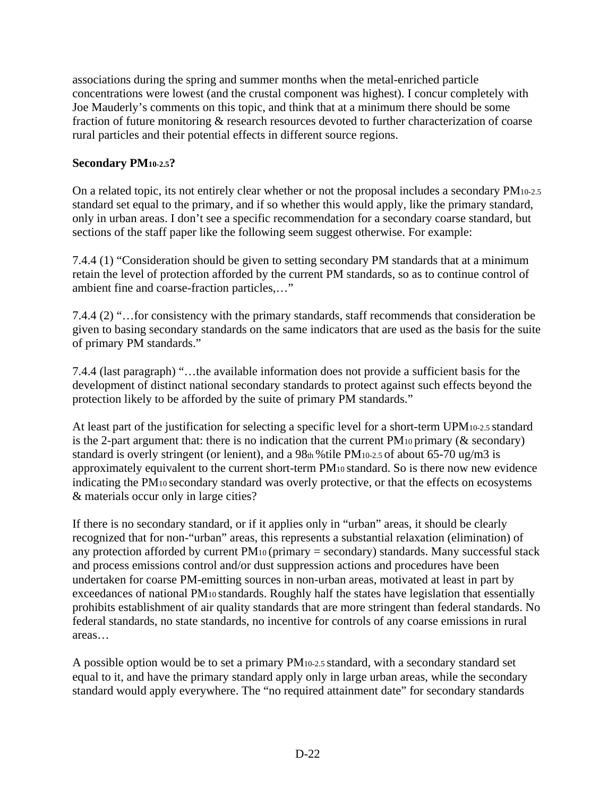associations during the spring and summer months when the metal-enriched particle concentrations were lowest (and the crustal component was highest). I concur completely with Joe Mauderly's comments on this topic, and think that at a minimum there should be some fraction of future monitoring & research resources devoted to further characterization of coarse rural particles and their potential effects in different source regions.

## **Secondary PM10-2.5?**

On a related topic, its not entirely clear whether or not the proposal includes a secondary PM10-2.5 standard set equal to the primary, and if so whether this would apply, like the primary standard, only in urban areas. I don't see a specific recommendation for a secondary coarse standard, but sections of the staff paper like the following seem suggest otherwise. For example:

7.4.4 (1) "Consideration should be given to setting secondary PM standards that at a minimum retain the level of protection afforded by the current PM standards, so as to continue control of ambient fine and coarse-fraction particles,…"

7.4.4 (2) "…for consistency with the primary standards, staff recommends that consideration be given to basing secondary standards on the same indicators that are used as the basis for the suite of primary PM standards."

7.4.4 (last paragraph) "…the available information does not provide a sufficient basis for the development of distinct national secondary standards to protect against such effects beyond the protection likely to be afforded by the suite of primary PM standards."

At least part of the justification for selecting a specific level for a short-term UPM10-2.5 standard is the 2-part argument that: there is no indication that the current  $PM_{10}$  primary ( $\&$  secondary) standard is overly stringent (or lenient), and a 98th % tile PM<sub>10-2.5</sub> of about 65-70 ug/m3 is approximately equivalent to the current short-term PM10 standard. So is there now new evidence indicating the PM10 secondary standard was overly protective, or that the effects on ecosystems & materials occur only in large cities?

If there is no secondary standard, or if it applies only in "urban" areas, it should be clearly recognized that for non-"urban" areas, this represents a substantial relaxation (elimination) of any protection afforded by current  $PM_{10}$  (primary = secondary) standards. Many successful stack and process emissions control and/or dust suppression actions and procedures have been undertaken for coarse PM-emitting sources in non-urban areas, motivated at least in part by exceedances of national PM10 standards. Roughly half the states have legislation that essentially prohibits establishment of air quality standards that are more stringent than federal standards. No federal standards, no state standards, no incentive for controls of any coarse emissions in rural areas…

A possible option would be to set a primary PM10-2.5 standard, with a secondary standard set equal to it, and have the primary standard apply only in large urban areas, while the secondary standard would apply everywhere. The "no required attainment date" for secondary standards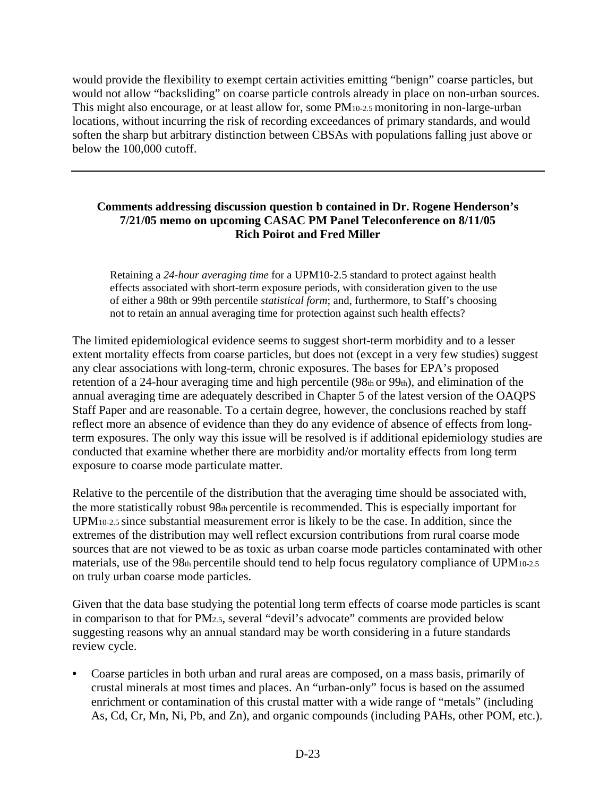would provide the flexibility to exempt certain activities emitting "benign" coarse particles, but would not allow "backsliding" on coarse particle controls already in place on non-urban sources. This might also encourage, or at least allow for, some PM10-2.5 monitoring in non-large-urban locations, without incurring the risk of recording exceedances of primary standards, and would soften the sharp but arbitrary distinction between CBSAs with populations falling just above or below the 100,000 cutoff.

## **Comments addressing discussion question b contained in Dr. Rogene Henderson's 7/21/05 memo on upcoming CASAC PM Panel Teleconference on 8/11/05 Rich Poirot and Fred Miller**

Retaining a *24-hour averaging time* for a UPM10-2.5 standard to protect against health effects associated with short-term exposure periods, with consideration given to the use of either a 98th or 99th percentile *statistical form*; and, furthermore, to Staff's choosing not to retain an annual averaging time for protection against such health effects?

The limited epidemiological evidence seems to suggest short-term morbidity and to a lesser extent mortality effects from coarse particles, but does not (except in a very few studies) suggest any clear associations with long-term, chronic exposures. The bases for EPA's proposed retention of a 24-hour averaging time and high percentile ( $98<sub>th</sub>$  or  $99<sub>th</sub>$ ), and elimination of the annual averaging time are adequately described in Chapter 5 of the latest version of the OAQPS Staff Paper and are reasonable. To a certain degree, however, the conclusions reached by staff reflect more an absence of evidence than they do any evidence of absence of effects from longterm exposures. The only way this issue will be resolved is if additional epidemiology studies are conducted that examine whether there are morbidity and/or mortality effects from long term exposure to coarse mode particulate matter.

Relative to the percentile of the distribution that the averaging time should be associated with, the more statistically robust 98th percentile is recommended. This is especially important for UPM10-2.5 since substantial measurement error is likely to be the case. In addition, since the extremes of the distribution may well reflect excursion contributions from rural coarse mode sources that are not viewed to be as toxic as urban coarse mode particles contaminated with other materials, use of the 98th percentile should tend to help focus regulatory compliance of UPM<sub>10-2.5</sub> on truly urban coarse mode particles.

Given that the data base studying the potential long term effects of coarse mode particles is scant in comparison to that for PM2.5, several "devil's advocate" comments are provided below suggesting reasons why an annual standard may be worth considering in a future standards review cycle.

• Coarse particles in both urban and rural areas are composed, on a mass basis, primarily of crustal minerals at most times and places. An "urban-only" focus is based on the assumed enrichment or contamination of this crustal matter with a wide range of "metals" (including As, Cd, Cr, Mn, Ni, Pb, and Zn), and organic compounds (including PAHs, other POM, etc.).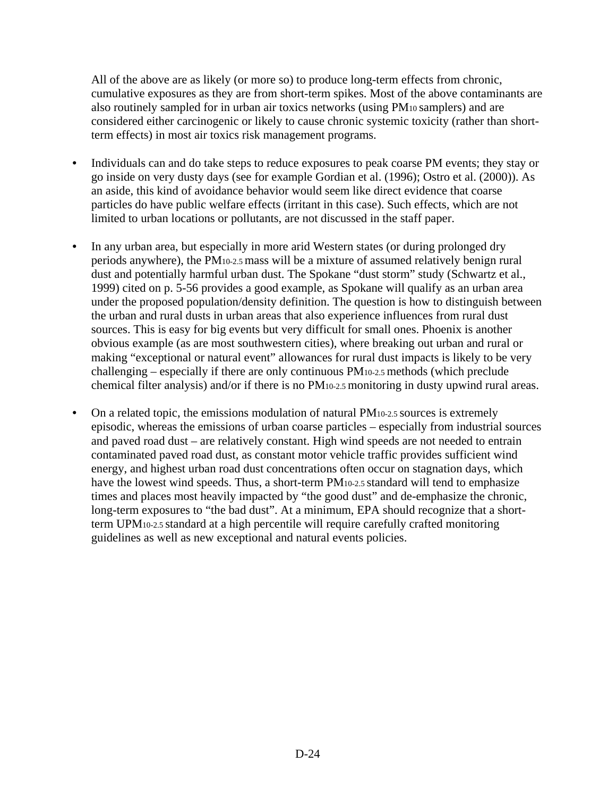All of the above are as likely (or more so) to produce long-term effects from chronic, cumulative exposures as they are from short-term spikes. Most of the above contaminants are also routinely sampled for in urban air toxics networks (using PM10 samplers) and are considered either carcinogenic or likely to cause chronic systemic toxicity (rather than shortterm effects) in most air toxics risk management programs.

- Individuals can and do take steps to reduce exposures to peak coarse PM events; they stay or go inside on very dusty days (see for example Gordian et al. (1996); Ostro et al. (2000)). As an aside, this kind of avoidance behavior would seem like direct evidence that coarse particles do have public welfare effects (irritant in this case). Such effects, which are not limited to urban locations or pollutants, are not discussed in the staff paper.
- In any urban area, but especially in more arid Western states (or during prolonged dry periods anywhere), the PM10-2.5 mass will be a mixture of assumed relatively benign rural dust and potentially harmful urban dust. The Spokane "dust storm" study (Schwartz et al., 1999) cited on p. 5-56 provides a good example, as Spokane will qualify as an urban area under the proposed population/density definition. The question is how to distinguish between the urban and rural dusts in urban areas that also experience influences from rural dust sources. This is easy for big events but very difficult for small ones. Phoenix is another obvious example (as are most southwestern cities), where breaking out urban and rural or making "exceptional or natural event" allowances for rural dust impacts is likely to be very challenging – especially if there are only continuous PM10-2.5 methods (which preclude chemical filter analysis) and/or if there is no PM10-2.5 monitoring in dusty upwind rural areas.
- On a related topic, the emissions modulation of natural PM<sub>10-2.5</sub> sources is extremely episodic, whereas the emissions of urban coarse particles – especially from industrial sources and paved road dust – are relatively constant. High wind speeds are not needed to entrain contaminated paved road dust, as constant motor vehicle traffic provides sufficient wind energy, and highest urban road dust concentrations often occur on stagnation days, which have the lowest wind speeds. Thus, a short-term PM<sub>10-2.5</sub> standard will tend to emphasize times and places most heavily impacted by "the good dust" and de-emphasize the chronic, long-term exposures to "the bad dust". At a minimum, EPA should recognize that a shortterm UPM10-2.5 standard at a high percentile will require carefully crafted monitoring guidelines as well as new exceptional and natural events policies.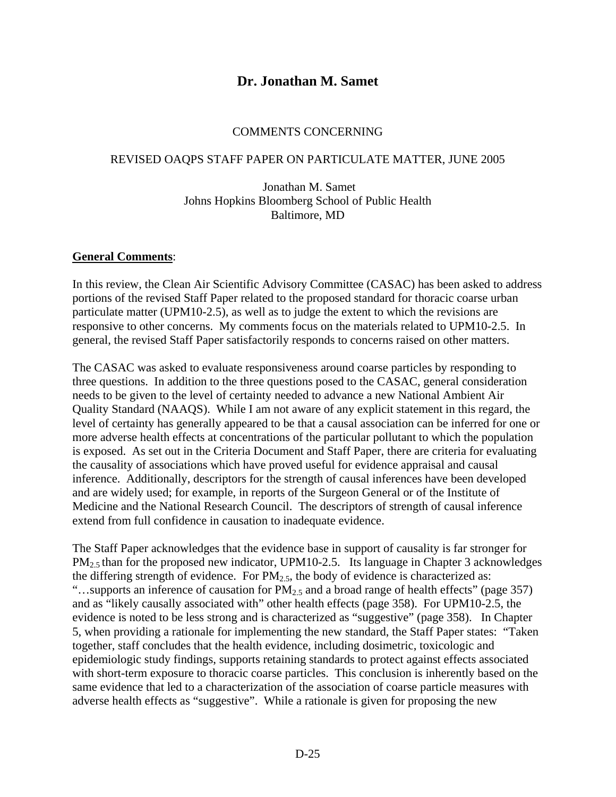# **Dr. Jonathan M. Samet**

#### COMMENTS CONCERNING

#### REVISED OAQPS STAFF PAPER ON PARTICULATE MATTER, JUNE 2005

### Jonathan M. Samet Johns Hopkins Bloomberg School of Public Health Baltimore, MD

#### **General Comments**:

In this review, the Clean Air Scientific Advisory Committee (CASAC) has been asked to address portions of the revised Staff Paper related to the proposed standard for thoracic coarse urban particulate matter (UPM10-2.5), as well as to judge the extent to which the revisions are responsive to other concerns. My comments focus on the materials related to UPM10-2.5. In general, the revised Staff Paper satisfactorily responds to concerns raised on other matters.

The CASAC was asked to evaluate responsiveness around coarse particles by responding to three questions. In addition to the three questions posed to the CASAC, general consideration needs to be given to the level of certainty needed to advance a new National Ambient Air Quality Standard (NAAQS). While I am not aware of any explicit statement in this regard, the level of certainty has generally appeared to be that a causal association can be inferred for one or more adverse health effects at concentrations of the particular pollutant to which the population is exposed. As set out in the Criteria Document and Staff Paper, there are criteria for evaluating the causality of associations which have proved useful for evidence appraisal and causal inference. Additionally, descriptors for the strength of causal inferences have been developed and are widely used; for example, in reports of the Surgeon General or of the Institute of Medicine and the National Research Council. The descriptors of strength of causal inference extend from full confidence in causation to inadequate evidence.

The Staff Paper acknowledges that the evidence base in support of causality is far stronger for  $PM_{2.5}$  than for the proposed new indicator, UPM10-2.5. Its language in Chapter 3 acknowledges the differing strength of evidence. For  $PM_{2.5}$ , the body of evidence is characterized as: "...supports an inference of causation for  $PM_{2.5}$  and a broad range of health effects" (page 357) and as "likely causally associated with" other health effects (page 358). For UPM10-2.5, the evidence is noted to be less strong and is characterized as "suggestive" (page 358). In Chapter 5, when providing a rationale for implementing the new standard, the Staff Paper states: "Taken together, staff concludes that the health evidence, including dosimetric, toxicologic and epidemiologic study findings, supports retaining standards to protect against effects associated with short-term exposure to thoracic coarse particles. This conclusion is inherently based on the same evidence that led to a characterization of the association of coarse particle measures with adverse health effects as "suggestive". While a rationale is given for proposing the new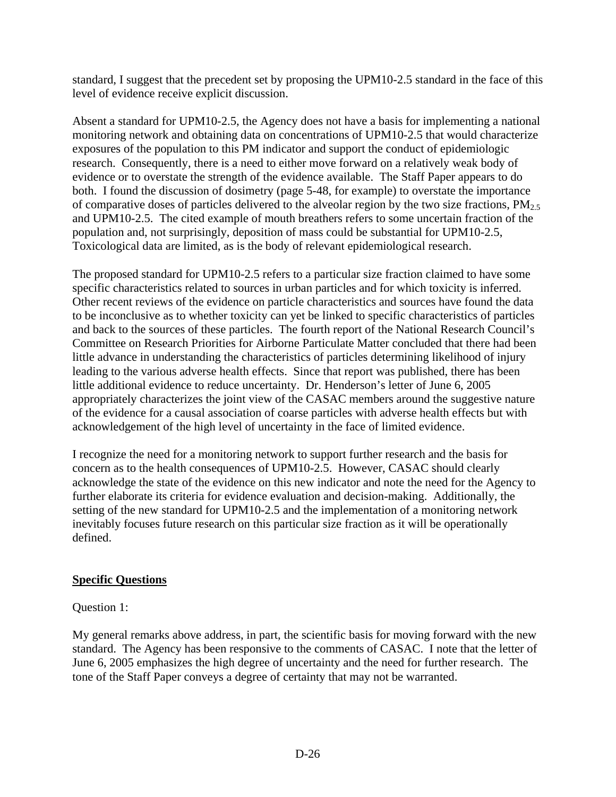standard, I suggest that the precedent set by proposing the UPM10-2.5 standard in the face of this level of evidence receive explicit discussion.

Absent a standard for UPM10-2.5, the Agency does not have a basis for implementing a national monitoring network and obtaining data on concentrations of UPM10-2.5 that would characterize exposures of the population to this PM indicator and support the conduct of epidemiologic research. Consequently, there is a need to either move forward on a relatively weak body of evidence or to overstate the strength of the evidence available. The Staff Paper appears to do both. I found the discussion of dosimetry (page 5-48, for example) to overstate the importance of comparative doses of particles delivered to the alveolar region by the two size fractions,  $PM_{2.5}$ and UPM10-2.5. The cited example of mouth breathers refers to some uncertain fraction of the population and, not surprisingly, deposition of mass could be substantial for UPM10-2.5, Toxicological data are limited, as is the body of relevant epidemiological research.

The proposed standard for UPM10-2.5 refers to a particular size fraction claimed to have some specific characteristics related to sources in urban particles and for which toxicity is inferred. Other recent reviews of the evidence on particle characteristics and sources have found the data to be inconclusive as to whether toxicity can yet be linked to specific characteristics of particles and back to the sources of these particles. The fourth report of the National Research Council's Committee on Research Priorities for Airborne Particulate Matter concluded that there had been little advance in understanding the characteristics of particles determining likelihood of injury leading to the various adverse health effects. Since that report was published, there has been little additional evidence to reduce uncertainty. Dr. Henderson's letter of June 6, 2005 appropriately characterizes the joint view of the CASAC members around the suggestive nature of the evidence for a causal association of coarse particles with adverse health effects but with acknowledgement of the high level of uncertainty in the face of limited evidence.

I recognize the need for a monitoring network to support further research and the basis for concern as to the health consequences of UPM10-2.5. However, CASAC should clearly acknowledge the state of the evidence on this new indicator and note the need for the Agency to further elaborate its criteria for evidence evaluation and decision-making. Additionally, the setting of the new standard for UPM10-2.5 and the implementation of a monitoring network inevitably focuses future research on this particular size fraction as it will be operationally defined.

## **Specific Questions**

### Question 1:

My general remarks above address, in part, the scientific basis for moving forward with the new standard. The Agency has been responsive to the comments of CASAC. I note that the letter of June 6, 2005 emphasizes the high degree of uncertainty and the need for further research. The tone of the Staff Paper conveys a degree of certainty that may not be warranted.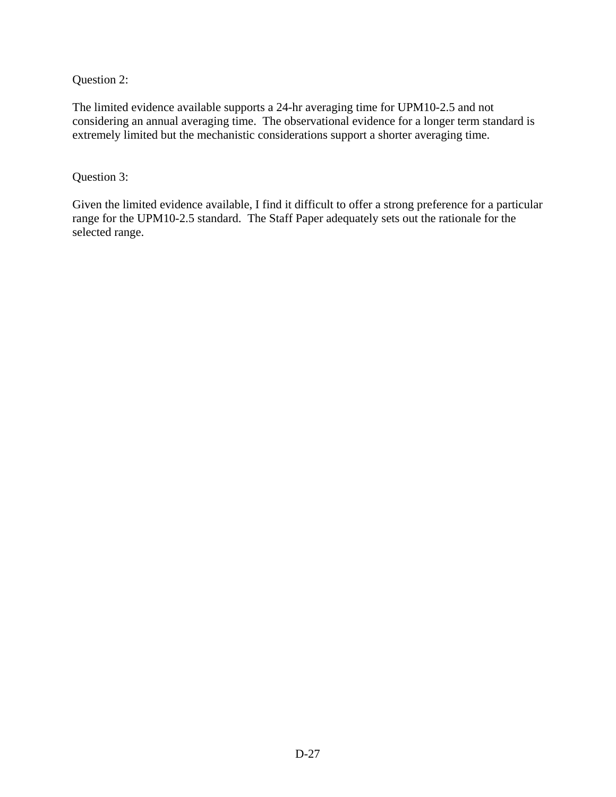Question 2:

The limited evidence available supports a 24-hr averaging time for UPM10-2.5 and not considering an annual averaging time. The observational evidence for a longer term standard is extremely limited but the mechanistic considerations support a shorter averaging time.

Question 3:

Given the limited evidence available, I find it difficult to offer a strong preference for a particular range for the UPM10-2.5 standard. The Staff Paper adequately sets out the rationale for the selected range.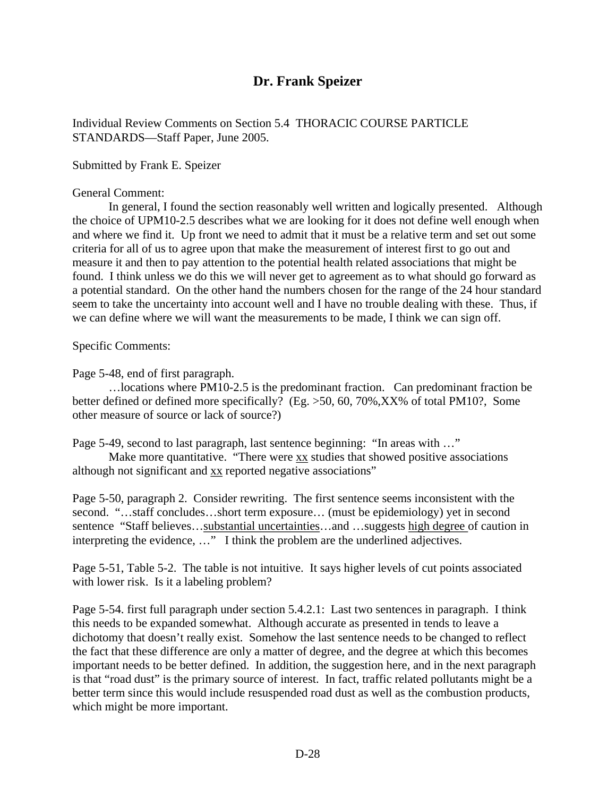# **Dr. Frank Speizer**

Individual Review Comments on Section 5.4 THORACIC COURSE PARTICLE STANDARDS—Staff Paper, June 2005.

Submitted by Frank E. Speizer

General Comment:

In general, I found the section reasonably well written and logically presented. Although the choice of UPM10-2.5 describes what we are looking for it does not define well enough when and where we find it. Up front we need to admit that it must be a relative term and set out some criteria for all of us to agree upon that make the measurement of interest first to go out and measure it and then to pay attention to the potential health related associations that might be found. I think unless we do this we will never get to agreement as to what should go forward as a potential standard. On the other hand the numbers chosen for the range of the 24 hour standard seem to take the uncertainty into account well and I have no trouble dealing with these. Thus, if we can define where we will want the measurements to be made, I think we can sign off.

Specific Comments:

Page 5-48, end of first paragraph.

…locations where PM10-2.5 is the predominant fraction. Can predominant fraction be better defined or defined more specifically? (Eg. >50, 60, 70%,XX% of total PM10?, Some other measure of source or lack of source?)

Page 5-49, second to last paragraph, last sentence beginning: "In areas with …"

Make more quantitative. "There were  $\overline{xx}$  studies that showed positive associations although not significant and xx reported negative associations"

Page 5-50, paragraph 2. Consider rewriting. The first sentence seems inconsistent with the second. "...staff concludes...short term exposure... (must be epidemiology) yet in second sentence "Staff believes…substantial uncertainties…and …suggests high degree of caution in interpreting the evidence, …" I think the problem are the underlined adjectives.

Page 5-51, Table 5-2. The table is not intuitive. It says higher levels of cut points associated with lower risk. Is it a labeling problem?

Page 5-54. first full paragraph under section 5.4.2.1: Last two sentences in paragraph. I think this needs to be expanded somewhat. Although accurate as presented in tends to leave a dichotomy that doesn't really exist. Somehow the last sentence needs to be changed to reflect the fact that these difference are only a matter of degree, and the degree at which this becomes important needs to be better defined. In addition, the suggestion here, and in the next paragraph is that "road dust" is the primary source of interest. In fact, traffic related pollutants might be a better term since this would include resuspended road dust as well as the combustion products, which might be more important.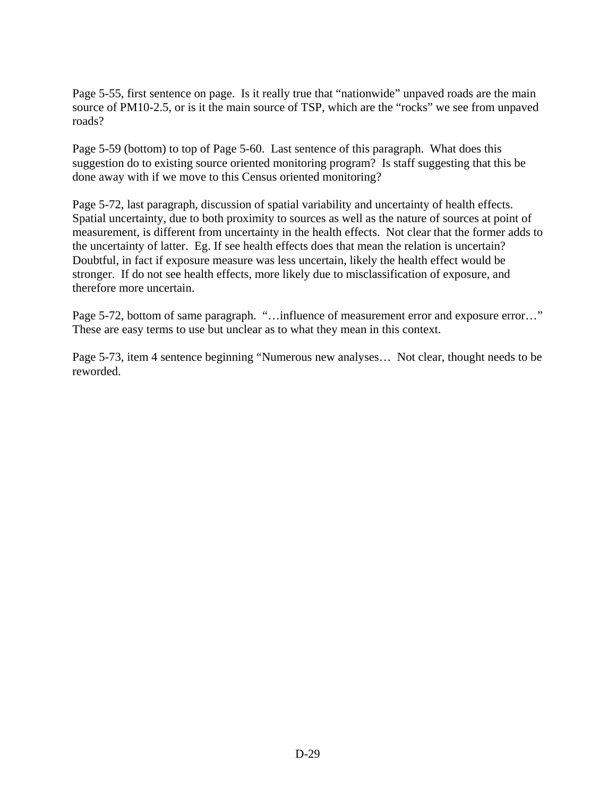Page 5-55, first sentence on page. Is it really true that "nationwide" unpaved roads are the main source of PM10-2.5, or is it the main source of TSP, which are the "rocks" we see from unpaved roads?

Page 5-59 (bottom) to top of Page 5-60. Last sentence of this paragraph. What does this suggestion do to existing source oriented monitoring program? Is staff suggesting that this be done away with if we move to this Census oriented monitoring?

Page 5-72, last paragraph, discussion of spatial variability and uncertainty of health effects. Spatial uncertainty, due to both proximity to sources as well as the nature of sources at point of measurement, is different from uncertainty in the health effects. Not clear that the former adds to the uncertainty of latter. Eg. If see health effects does that mean the relation is uncertain? Doubtful, in fact if exposure measure was less uncertain, likely the health effect would be stronger. If do not see health effects, more likely due to misclassification of exposure, and therefore more uncertain.

Page 5-72, bottom of same paragraph. "...influence of measurement error and exposure error..." These are easy terms to use but unclear as to what they mean in this context.

Page 5-73, item 4 sentence beginning "Numerous new analyses… Not clear, thought needs to be reworded.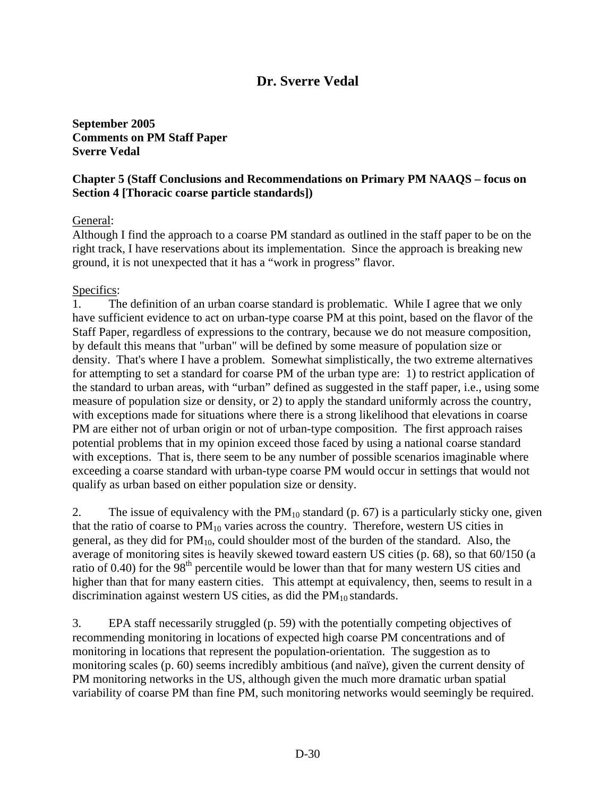# **Dr. Sverre Vedal**

**September 2005 Comments on PM Staff Paper Sverre Vedal** 

### **Chapter 5 (Staff Conclusions and Recommendations on Primary PM NAAQS – focus on Section 4 [Thoracic coarse particle standards])**

### General:

Although I find the approach to a coarse PM standard as outlined in the staff paper to be on the right track, I have reservations about its implementation. Since the approach is breaking new ground, it is not unexpected that it has a "work in progress" flavor.

### Specifics:

1. The definition of an urban coarse standard is problematic. While I agree that we only have sufficient evidence to act on urban-type coarse PM at this point, based on the flavor of the Staff Paper, regardless of expressions to the contrary, because we do not measure composition, by default this means that "urban" will be defined by some measure of population size or density. That's where I have a problem. Somewhat simplistically, the two extreme alternatives for attempting to set a standard for coarse PM of the urban type are: 1) to restrict application of the standard to urban areas, with "urban" defined as suggested in the staff paper, i.e., using some measure of population size or density, or 2) to apply the standard uniformly across the country, with exceptions made for situations where there is a strong likelihood that elevations in coarse PM are either not of urban origin or not of urban-type composition. The first approach raises potential problems that in my opinion exceed those faced by using a national coarse standard with exceptions. That is, there seem to be any number of possible scenarios imaginable where exceeding a coarse standard with urban-type coarse PM would occur in settings that would not qualify as urban based on either population size or density.

2. The issue of equivalency with the  $PM_{10}$  standard (p. 67) is a particularly sticky one, given that the ratio of coarse to  $PM_{10}$  varies across the country. Therefore, western US cities in general, as they did for  $PM_{10}$ , could shoulder most of the burden of the standard. Also, the average of monitoring sites is heavily skewed toward eastern US cities (p. 68), so that 60/150 (a ratio of 0.40) for the 98<sup>th</sup> percentile would be lower than that for many western US cities and higher than that for many eastern cities. This attempt at equivalency, then, seems to result in a discrimination against western US cities, as did the  $PM_{10}$  standards.

3. EPA staff necessarily struggled (p. 59) with the potentially competing objectives of recommending monitoring in locations of expected high coarse PM concentrations and of monitoring in locations that represent the population-orientation. The suggestion as to monitoring scales (p. 60) seems incredibly ambitious (and naïve), given the current density of PM monitoring networks in the US, although given the much more dramatic urban spatial variability of coarse PM than fine PM, such monitoring networks would seemingly be required.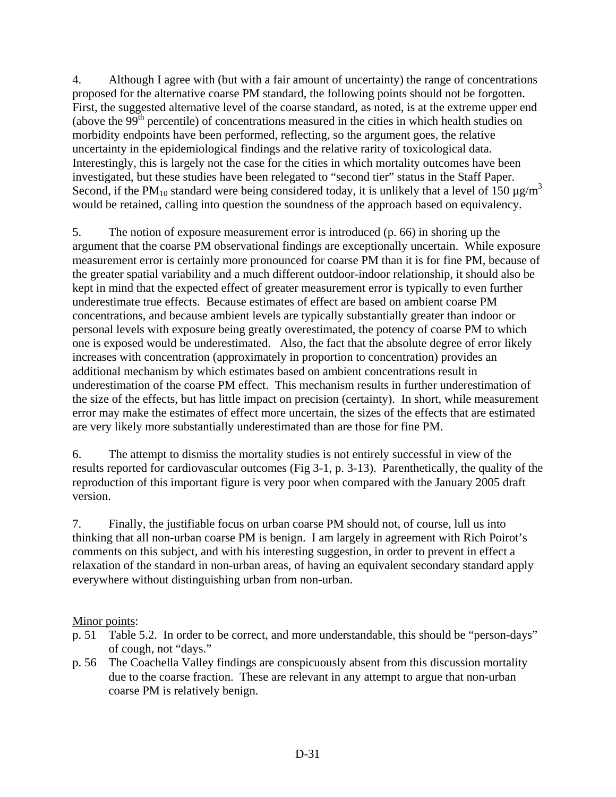4. Although I agree with (but with a fair amount of uncertainty) the range of concentrations proposed for the alternative coarse PM standard, the following points should not be forgotten. First, the suggested alternative level of the coarse standard, as noted, is at the extreme upper end (above the  $99<sup>th</sup>$  percentile) of concentrations measured in the cities in which health studies on morbidity endpoints have been performed, reflecting, so the argument goes, the relative uncertainty in the epidemiological findings and the relative rarity of toxicological data. Interestingly, this is largely not the case for the cities in which mortality outcomes have been investigated, but these studies have been relegated to "second tier" status in the Staff Paper. Second, if the PM<sub>10</sub> standard were being considered today, it is unlikely that a level of 150  $\mu$ g/m<sup>3</sup> would be retained, calling into question the soundness of the approach based on equivalency.

5. The notion of exposure measurement error is introduced (p. 66) in shoring up the argument that the coarse PM observational findings are exceptionally uncertain. While exposure measurement error is certainly more pronounced for coarse PM than it is for fine PM, because of the greater spatial variability and a much different outdoor-indoor relationship, it should also be kept in mind that the expected effect of greater measurement error is typically to even further underestimate true effects. Because estimates of effect are based on ambient coarse PM concentrations, and because ambient levels are typically substantially greater than indoor or personal levels with exposure being greatly overestimated, the potency of coarse PM to which one is exposed would be underestimated. Also, the fact that the absolute degree of error likely increases with concentration (approximately in proportion to concentration) provides an additional mechanism by which estimates based on ambient concentrations result in underestimation of the coarse PM effect. This mechanism results in further underestimation of the size of the effects, but has little impact on precision (certainty). In short, while measurement error may make the estimates of effect more uncertain, the sizes of the effects that are estimated are very likely more substantially underestimated than are those for fine PM.

6. The attempt to dismiss the mortality studies is not entirely successful in view of the results reported for cardiovascular outcomes (Fig 3-1, p. 3-13). Parenthetically, the quality of the reproduction of this important figure is very poor when compared with the January 2005 draft version.

7. Finally, the justifiable focus on urban coarse PM should not, of course, lull us into thinking that all non-urban coarse PM is benign. I am largely in agreement with Rich Poirot's comments on this subject, and with his interesting suggestion, in order to prevent in effect a relaxation of the standard in non-urban areas, of having an equivalent secondary standard apply everywhere without distinguishing urban from non-urban.

## Minor points:

- p. 51 Table 5.2. In order to be correct, and more understandable, this should be "person-days" of cough, not "days."
- p. 56 The Coachella Valley findings are conspicuously absent from this discussion mortality due to the coarse fraction. These are relevant in any attempt to argue that non-urban coarse PM is relatively benign.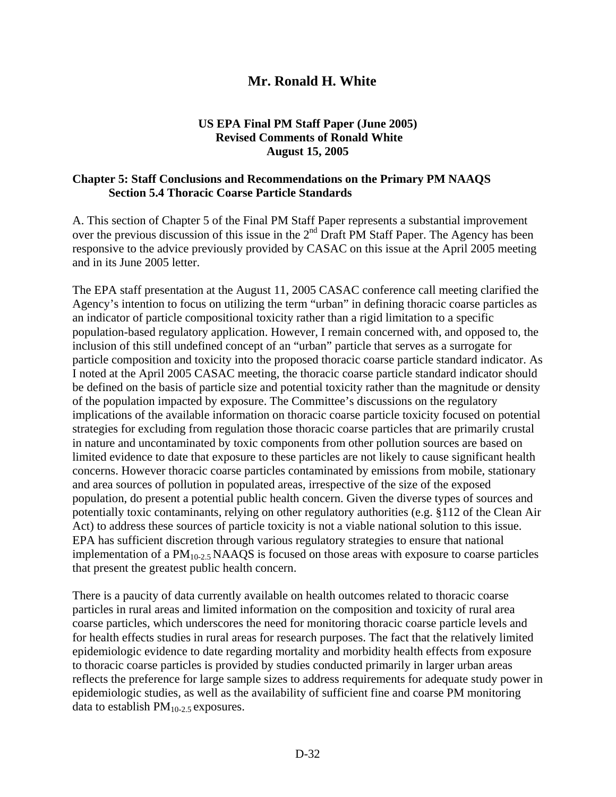# **Mr. Ronald H. White**

## **US EPA Final PM Staff Paper (June 2005) Revised Comments of Ronald White August 15, 2005**

### **Chapter 5: Staff Conclusions and Recommendations on the Primary PM NAAQS Section 5.4 Thoracic Coarse Particle Standards**

A. This section of Chapter 5 of the Final PM Staff Paper represents a substantial improvement over the previous discussion of this issue in the 2<sup>nd</sup> Draft PM Staff Paper. The Agency has been responsive to the advice previously provided by CASAC on this issue at the April 2005 meeting and in its June 2005 letter.

The EPA staff presentation at the August 11, 2005 CASAC conference call meeting clarified the Agency's intention to focus on utilizing the term "urban" in defining thoracic coarse particles as an indicator of particle compositional toxicity rather than a rigid limitation to a specific population-based regulatory application. However, I remain concerned with, and opposed to, the inclusion of this still undefined concept of an "urban" particle that serves as a surrogate for particle composition and toxicity into the proposed thoracic coarse particle standard indicator. As I noted at the April 2005 CASAC meeting, the thoracic coarse particle standard indicator should be defined on the basis of particle size and potential toxicity rather than the magnitude or density of the population impacted by exposure. The Committee's discussions on the regulatory implications of the available information on thoracic coarse particle toxicity focused on potential strategies for excluding from regulation those thoracic coarse particles that are primarily crustal in nature and uncontaminated by toxic components from other pollution sources are based on limited evidence to date that exposure to these particles are not likely to cause significant health concerns. However thoracic coarse particles contaminated by emissions from mobile, stationary and area sources of pollution in populated areas, irrespective of the size of the exposed population, do present a potential public health concern. Given the diverse types of sources and potentially toxic contaminants, relying on other regulatory authorities (e.g. §112 of the Clean Air Act) to address these sources of particle toxicity is not a viable national solution to this issue. EPA has sufficient discretion through various regulatory strategies to ensure that national implementation of a  $PM_{10-2.5}$  NAAQS is focused on those areas with exposure to coarse particles that present the greatest public health concern.

There is a paucity of data currently available on health outcomes related to thoracic coarse particles in rural areas and limited information on the composition and toxicity of rural area coarse particles, which underscores the need for monitoring thoracic coarse particle levels and for health effects studies in rural areas for research purposes. The fact that the relatively limited epidemiologic evidence to date regarding mortality and morbidity health effects from exposure to thoracic coarse particles is provided by studies conducted primarily in larger urban areas reflects the preference for large sample sizes to address requirements for adequate study power in epidemiologic studies, as well as the availability of sufficient fine and coarse PM monitoring data to establish  $PM_{10-2.5}$  exposures.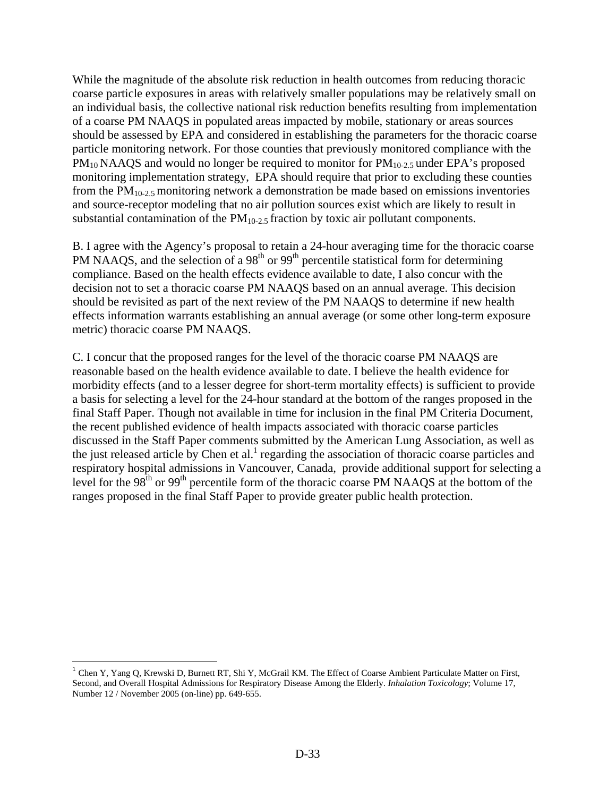While the magnitude of the absolute risk reduction in health outcomes from reducing thoracic coarse particle exposures in areas with relatively smaller populations may be relatively small on an individual basis, the collective national risk reduction benefits resulting from implementation of a coarse PM NAAQS in populated areas impacted by mobile, stationary or areas sources should be assessed by EPA and considered in establishing the parameters for the thoracic coarse particle monitoring network. For those counties that previously monitored compliance with the  $PM_{10}$  NAAQS and would no longer be required to monitor for  $PM_{10-2.5}$  under EPA's proposed monitoring implementation strategy, EPA should require that prior to excluding these counties from the  $PM_{10-2.5}$  monitoring network a demonstration be made based on emissions inventories and source-receptor modeling that no air pollution sources exist which are likely to result in substantial contamination of the  $PM_{10-2.5}$  fraction by toxic air pollutant components.

B. I agree with the Agency's proposal to retain a 24-hour averaging time for the thoracic coarse PM NAAQS, and the selection of a 98<sup>th</sup> or 99<sup>th</sup> percentile statistical form for determining compliance. Based on the health effects evidence available to date, I also concur with the decision not to set a thoracic coarse PM NAAQS based on an annual average. This decision should be revisited as part of the next review of the PM NAAQS to determine if new health effects information warrants establishing an annual average (or some other long-term exposure metric) thoracic coarse PM NAAQS.

C. I concur that the proposed ranges for the level of the thoracic coarse PM NAAQS are reasonable based on the health evidence available to date. I believe the health evidence for morbidity effects (and to a lesser degree for short-term mortality effects) is sufficient to provide a basis for selecting a level for the 24-hour standard at the bottom of the ranges proposed in the final Staff Paper. Though not available in time for inclusion in the final PM Criteria Document, the recent published evidence of health impacts associated with thoracic coarse particles discussed in the Staff Paper comments submitted by the American Lung Association, as well as the just released article by Chen et al.<sup>1</sup> regarding the association of thoracic coarse particles and respiratory hospital admissions in Vancouver, Canada, provide additional support for selecting a level for the 98<sup>th</sup> or 99<sup>th</sup> percentile form of the thoracic coarse PM NAAQS at the bottom of the ranges proposed in the final Staff Paper to provide greater public health protection.

<sup>&</sup>lt;sup>1</sup> Chen Y, Yang Q, Krewski D, Burnett RT, Shi Y, McGrail KM. The Effect of Coarse Ambient Particulate Matter on First, Second, and Overall Hospital Admissions for Respiratory Disease Among the Elderly. *Inhalation Toxicology*; Volume 17, Number 12 / November 2005 (on-line) pp. 649-655.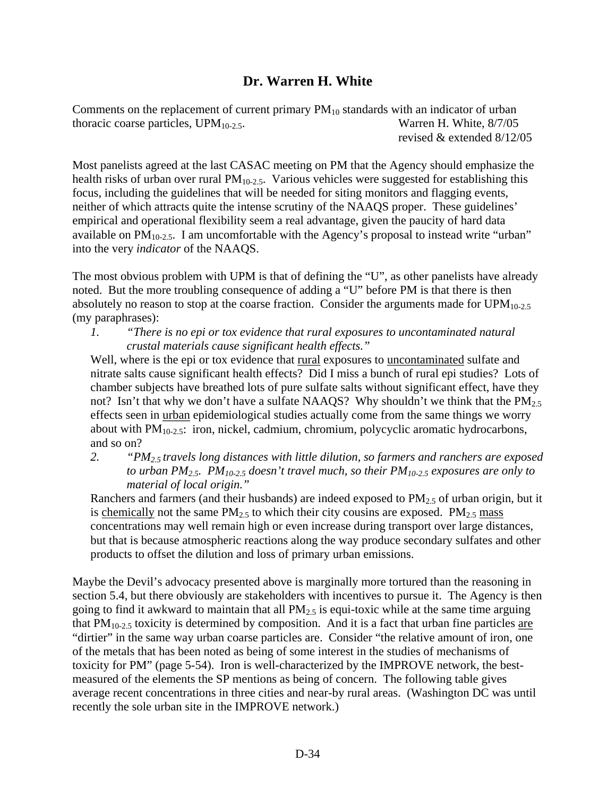# **Dr. Warren H. White**

Comments on the replacement of current primary  $PM_{10}$  standards with an indicator of urban thoracic coarse particles, UPM<sub>10-2.5</sub>. Warren H. White, 8/7/05 revised & extended 8/12/05

Most panelists agreed at the last CASAC meeting on PM that the Agency should emphasize the health risks of urban over rural  $PM<sub>10-2.5</sub>$ . Various vehicles were suggested for establishing this focus, including the guidelines that will be needed for siting monitors and flagging events, neither of which attracts quite the intense scrutiny of the NAAQS proper. These guidelines' empirical and operational flexibility seem a real advantage, given the paucity of hard data available on  $PM_{10-2.5}$ . I am uncomfortable with the Agency's proposal to instead write "urban" into the very *indicator* of the NAAQS.

The most obvious problem with UPM is that of defining the "U", as other panelists have already noted. But the more troubling consequence of adding a "U" before PM is that there is then absolutely no reason to stop at the coarse fraction. Consider the arguments made for  $UPM_{10-2.5}$ (my paraphrases):

*1. "There is no epi or tox evidence that rural exposures to uncontaminated natural crustal materials cause significant health effects."* 

Well, where is the epi or tox evidence that rural exposures to uncontaminated sulfate and nitrate salts cause significant health effects? Did I miss a bunch of rural epi studies? Lots of chamber subjects have breathed lots of pure sulfate salts without significant effect, have they not? Isn't that why we don't have a sulfate NAAQS? Why shouldn't we think that the  $PM_{2.5}$ effects seen in urban epidemiological studies actually come from the same things we worry about with  $PM_{10-2.5}$ : iron, nickel, cadmium, chromium, polycyclic aromatic hydrocarbons, and so on?

*2. "PM2.5 travels long distances with little dilution, so farmers and ranchers are exposed*  to urban PM<sub>2.5</sub>. PM<sub>10-2.5</sub> doesn't travel much, so their PM<sub>10-2.5</sub> exposures are only to *material of local origin."* 

Ranchers and farmers (and their husbands) are indeed exposed to  $PM<sub>2.5</sub>$  of urban origin, but it is chemically not the same  $PM_{2.5}$  to which their city cousins are exposed.  $PM_{2.5}$  mass concentrations may well remain high or even increase during transport over large distances, but that is because atmospheric reactions along the way produce secondary sulfates and other products to offset the dilution and loss of primary urban emissions.

Maybe the Devil's advocacy presented above is marginally more tortured than the reasoning in section 5.4, but there obviously are stakeholders with incentives to pursue it. The Agency is then going to find it awkward to maintain that all  $PM<sub>2.5</sub>$  is equi-toxic while at the same time arguing that  $PM_{10-2.5}$  toxicity is determined by composition. And it is a fact that urban fine particles are "dirtier" in the same way urban coarse particles are. Consider "the relative amount of iron, one of the metals that has been noted as being of some interest in the studies of mechanisms of toxicity for PM" (page 5-54). Iron is well-characterized by the IMPROVE network, the bestmeasured of the elements the SP mentions as being of concern. The following table gives average recent concentrations in three cities and near-by rural areas. (Washington DC was until recently the sole urban site in the IMPROVE network.)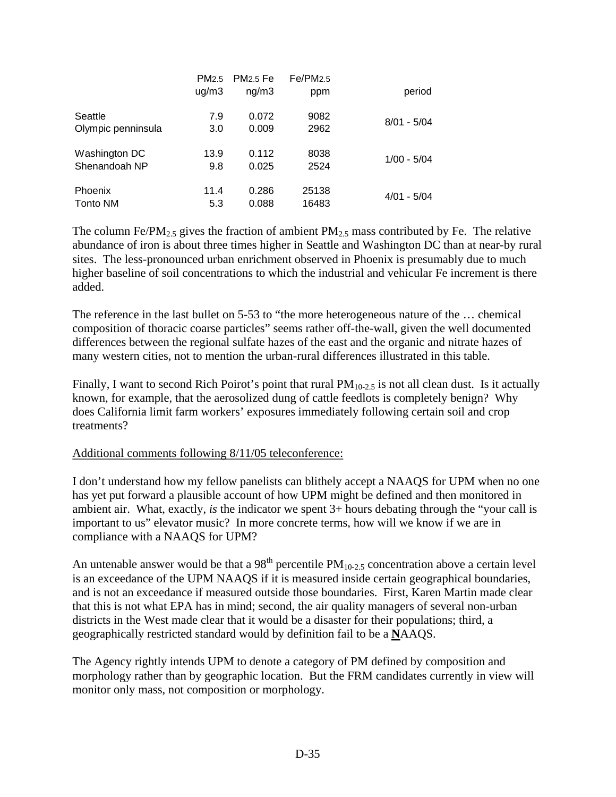|                    | PM <sub>2.5</sub> | <b>PM<sub>2.5</sub></b> Fe | Fe/PM2.5 |               |
|--------------------|-------------------|----------------------------|----------|---------------|
|                    | uq/m3             | ng/m3                      | ppm      | period        |
| Seattle            | 7.9               | 0.072                      | 9082     | $8/01 - 5/04$ |
| Olympic penninsula | 3.0               | 0.009                      | 2962     |               |
| Washington DC      | 13.9              | 0.112                      | 8038     | $1/00 - 5/04$ |
| Shenandoah NP      | 9.8               | 0.025                      | 2524     |               |
| <b>Phoenix</b>     | 11.4              | 0.286                      | 25138    | $4/01 - 5/04$ |
| Tonto NM           | 5.3               | 0.088                      | 16483    |               |

The column Fe/PM<sub>2.5</sub> gives the fraction of ambient PM<sub>2.5</sub> mass contributed by Fe. The relative abundance of iron is about three times higher in Seattle and Washington DC than at near-by rural sites. The less-pronounced urban enrichment observed in Phoenix is presumably due to much higher baseline of soil concentrations to which the industrial and vehicular Fe increment is there added.

The reference in the last bullet on 5-53 to "the more heterogeneous nature of the … chemical composition of thoracic coarse particles" seems rather off-the-wall, given the well documented differences between the regional sulfate hazes of the east and the organic and nitrate hazes of many western cities, not to mention the urban-rural differences illustrated in this table.

Finally, I want to second Rich Poirot's point that rural  $PM_{10-2.5}$  is not all clean dust. Is it actually known, for example, that the aerosolized dung of cattle feedlots is completely benign? Why does California limit farm workers' exposures immediately following certain soil and crop treatments?

### Additional comments following 8/11/05 teleconference:

I don't understand how my fellow panelists can blithely accept a NAAQS for UPM when no one has yet put forward a plausible account of how UPM might be defined and then monitored in ambient air. What, exactly, *is* the indicator we spent 3+ hours debating through the "your call is important to us" elevator music? In more concrete terms, how will we know if we are in compliance with a NAAQS for UPM?

An untenable answer would be that a 98<sup>th</sup> percentile  $PM_{10-2.5}$  concentration above a certain level is an exceedance of the UPM NAAQS if it is measured inside certain geographical boundaries, and is not an exceedance if measured outside those boundaries. First, Karen Martin made clear that this is not what EPA has in mind; second, the air quality managers of several non-urban districts in the West made clear that it would be a disaster for their populations; third, a geographically restricted standard would by definition fail to be a **N**AAQS.

The Agency rightly intends UPM to denote a category of PM defined by composition and morphology rather than by geographic location. But the FRM candidates currently in view will monitor only mass, not composition or morphology.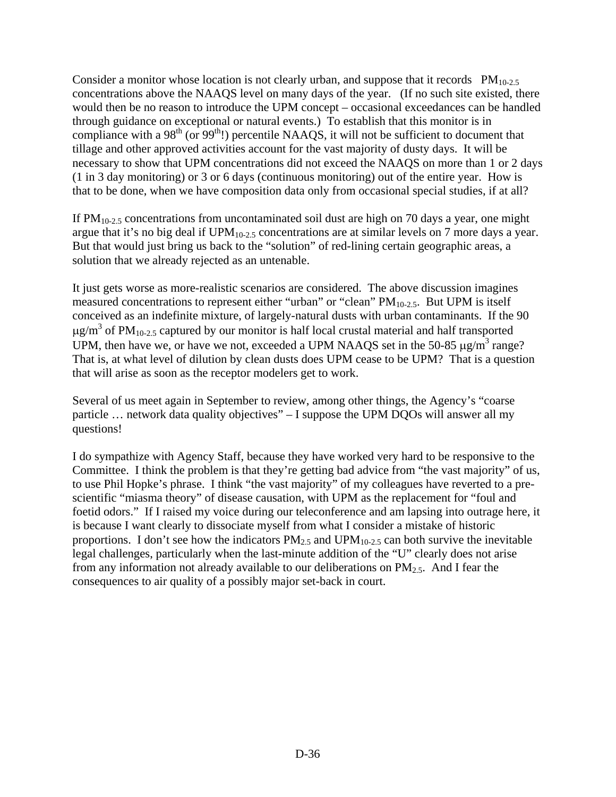Consider a monitor whose location is not clearly urban, and suppose that it records  $PM_{10-2.5}$ concentrations above the NAAQS level on many days of the year. (If no such site existed, there would then be no reason to introduce the UPM concept – occasional exceedances can be handled through guidance on exceptional or natural events.) To establish that this monitor is in compliance with a  $98<sup>th</sup>$  (or  $99<sup>th</sup>$ !) percentile NAAQS, it will not be sufficient to document that tillage and other approved activities account for the vast majority of dusty days. It will be necessary to show that UPM concentrations did not exceed the NAAQS on more than 1 or 2 days (1 in 3 day monitoring) or 3 or 6 days (continuous monitoring) out of the entire year. How is that to be done, when we have composition data only from occasional special studies, if at all?

If  $PM_{10-2.5}$  concentrations from uncontaminated soil dust are high on 70 days a year, one might argue that it's no big deal if  $UPM<sub>10-2.5</sub>$  concentrations are at similar levels on 7 more days a year. But that would just bring us back to the "solution" of red-lining certain geographic areas, a solution that we already rejected as an untenable.

It just gets worse as more-realistic scenarios are considered. The above discussion imagines measured concentrations to represent either "urban" or "clean"  $PM_{10-2.5}$ . But UPM is itself conceived as an indefinite mixture, of largely-natural dusts with urban contaminants. If the 90  $\mu$ g/m<sup>3</sup> of PM<sub>10-2.5</sub> captured by our monitor is half local crustal material and half transported UPM, then have we, or have we not, exceeded a UPM NAAQS set in the 50-85  $\mu$ g/m<sup>3</sup> range? That is, at what level of dilution by clean dusts does UPM cease to be UPM? That is a question that will arise as soon as the receptor modelers get to work.

Several of us meet again in September to review, among other things, the Agency's "coarse particle … network data quality objectives" – I suppose the UPM DQOs will answer all my questions!

I do sympathize with Agency Staff, because they have worked very hard to be responsive to the Committee. I think the problem is that they're getting bad advice from "the vast majority" of us, to use Phil Hopke's phrase. I think "the vast majority" of my colleagues have reverted to a prescientific "miasma theory" of disease causation, with UPM as the replacement for "foul and foetid odors." If I raised my voice during our teleconference and am lapsing into outrage here, it is because I want clearly to dissociate myself from what I consider a mistake of historic proportions. I don't see how the indicators  $PM_{2.5}$  and  $UPM_{10-2.5}$  can both survive the inevitable legal challenges, particularly when the last-minute addition of the "U" clearly does not arise from any information not already available to our deliberations on  $PM<sub>2.5</sub>$ . And I fear the consequences to air quality of a possibly major set-back in court.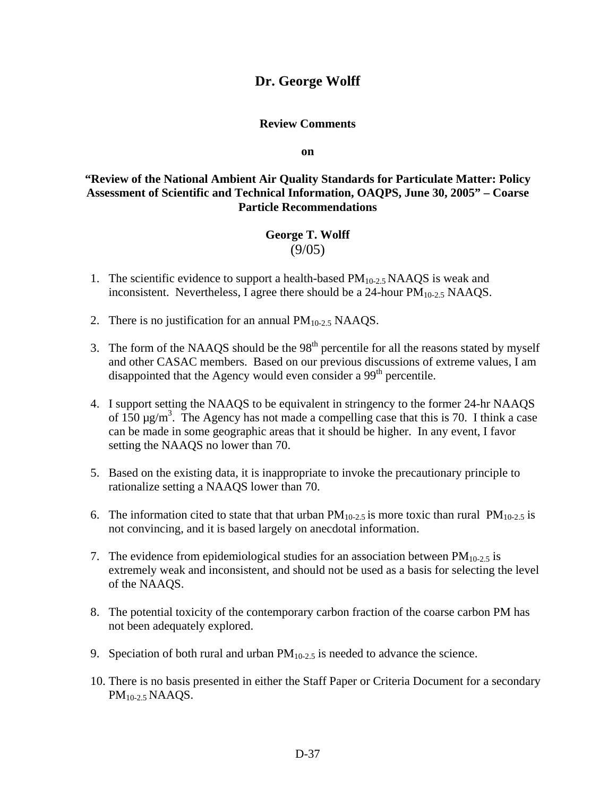# **Dr. George Wolff**

#### **Review Comments**

**on** 

## **"Review of the National Ambient Air Quality Standards for Particulate Matter: Policy Assessment of Scientific and Technical Information, OAQPS, June 30, 2005" – Coarse Particle Recommendations**

#### **George T. Wolff**  (9/05)

- 1. The scientific evidence to support a health-based  $PM<sub>10-2.5</sub> NAAQS$  is weak and inconsistent. Nevertheless, I agree there should be a 24-hour  $PM<sub>10-2.5</sub> NAAQS$ .
- 2. There is no justification for an annual  $PM<sub>10-2.5</sub> NAAQS$ .
- 3. The form of the NAAQS should be the  $98<sup>th</sup>$  percentile for all the reasons stated by myself and other CASAC members. Based on our previous discussions of extreme values, I am disappointed that the Agency would even consider a 99<sup>th</sup> percentile.
- 4. I support setting the NAAQS to be equivalent in stringency to the former 24-hr NAAQS of  $150 \mu g/m^3$ . The Agency has not made a compelling case that this is 70. I think a case can be made in some geographic areas that it should be higher. In any event, I favor setting the NAAQS no lower than 70.
- 5. Based on the existing data, it is inappropriate to invoke the precautionary principle to rationalize setting a NAAQS lower than 70.
- 6. The information cited to state that that urban  $PM_{10-2.5}$  is more toxic than rural  $PM_{10-2.5}$  is not convincing, and it is based largely on anecdotal information.
- 7. The evidence from epidemiological studies for an association between  $PM_{10-2.5}$  is extremely weak and inconsistent, and should not be used as a basis for selecting the level of the NAAQS.
- 8. The potential toxicity of the contemporary carbon fraction of the coarse carbon PM has not been adequately explored.
- 9. Speciation of both rural and urban  $PM<sub>10-2.5</sub>$  is needed to advance the science.
- 10. There is no basis presented in either the Staff Paper or Criteria Document for a secondary PM10-2.5 NAAQS.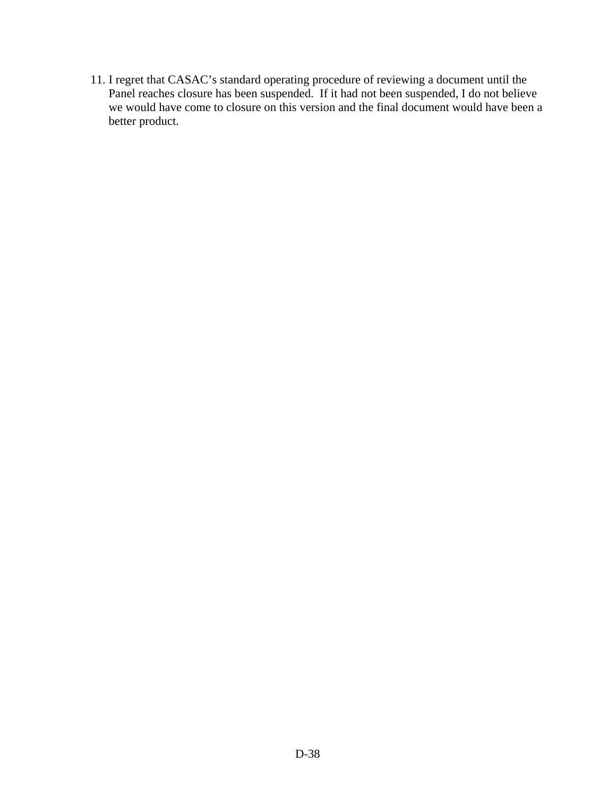11. I regret that CASAC's standard operating procedure of reviewing a document until the Panel reaches closure has been suspended. If it had not been suspended, I do not believe we would have come to closure on this version and the final document would have been a better product.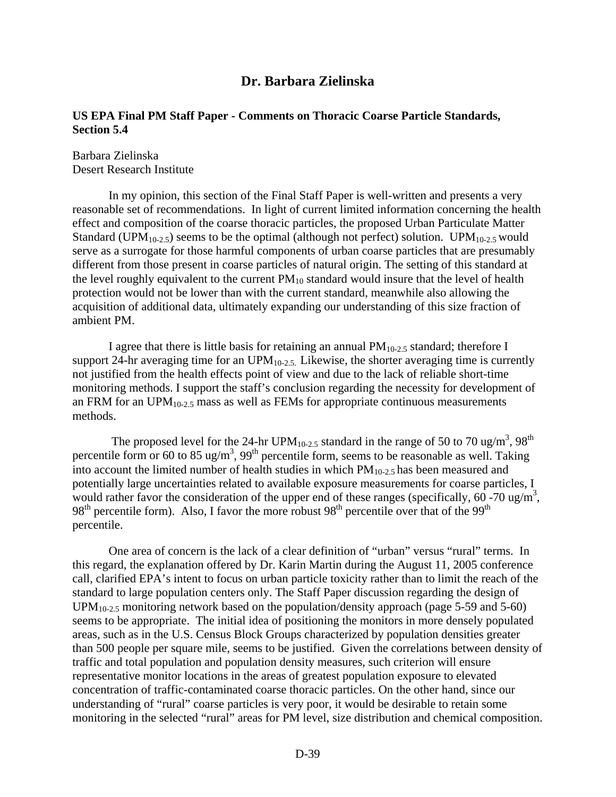## **Dr. Barbara Zielinska**

### **US EPA Final PM Staff Paper - Comments on Thoracic Coarse Particle Standards, Section 5.4**

Barbara Zielinska Desert Research Institute

In my opinion, this section of the Final Staff Paper is well-written and presents a very reasonable set of recommendations. In light of current limited information concerning the health effect and composition of the coarse thoracic particles, the proposed Urban Particulate Matter Standard (UPM<sub>10-2.5</sub>) seems to be the optimal (although not perfect) solution. UPM<sub>10-2.5</sub> would serve as a surrogate for those harmful components of urban coarse particles that are presumably different from those present in coarse particles of natural origin. The setting of this standard at the level roughly equivalent to the current  $PM_{10}$  standard would insure that the level of health protection would not be lower than with the current standard, meanwhile also allowing the acquisition of additional data, ultimately expanding our understanding of this size fraction of ambient PM.

I agree that there is little basis for retaining an annual  $PM_{10-2.5}$  standard; therefore I support 24-hr averaging time for an  $UPM_{10-2.5}$ . Likewise, the shorter averaging time is currently not justified from the health effects point of view and due to the lack of reliable short-time monitoring methods. I support the staff's conclusion regarding the necessity for development of an FRM for an  $UPM<sub>10-2.5</sub>$  mass as well as FEMs for appropriate continuous measurements methods.

The proposed level for the 24-hr UPM<sub>10-2.5</sub> standard in the range of 50 to 70 ug/m<sup>3</sup>, 98<sup>th</sup> percentile form or 60 to 85 ug/m<sup>3</sup>, 99<sup>th</sup> percentile form, seems to be reasonable as well. Taking into account the limited number of health studies in which  $PM_{10-2.5}$  has been measured and potentially large uncertainties related to available exposure measurements for coarse particles, I would rather favor the consideration of the upper end of these ranges (specifically,  $60 - 70$  ug/m<sup>3</sup>,  $98<sup>th</sup>$  percentile form). Also, I favor the more robust  $98<sup>th</sup>$  percentile over that of the  $99<sup>th</sup>$ percentile.

One area of concern is the lack of a clear definition of "urban" versus "rural" terms. In this regard, the explanation offered by Dr. Karin Martin during the August 11, 2005 conference call, clarified EPA's intent to focus on urban particle toxicity rather than to limit the reach of the standard to large population centers only. The Staff Paper discussion regarding the design of  $UPM<sub>10-2.5</sub>$  monitoring network based on the population/density approach (page 5-59 and 5-60) seems to be appropriate. The initial idea of positioning the monitors in more densely populated areas, such as in the U.S. Census Block Groups characterized by population densities greater than 500 people per square mile, seems to be justified. Given the correlations between density of traffic and total population and population density measures, such criterion will ensure representative monitor locations in the areas of greatest population exposure to elevated concentration of traffic-contaminated coarse thoracic particles. On the other hand, since our understanding of "rural" coarse particles is very poor, it would be desirable to retain some monitoring in the selected "rural" areas for PM level, size distribution and chemical composition.